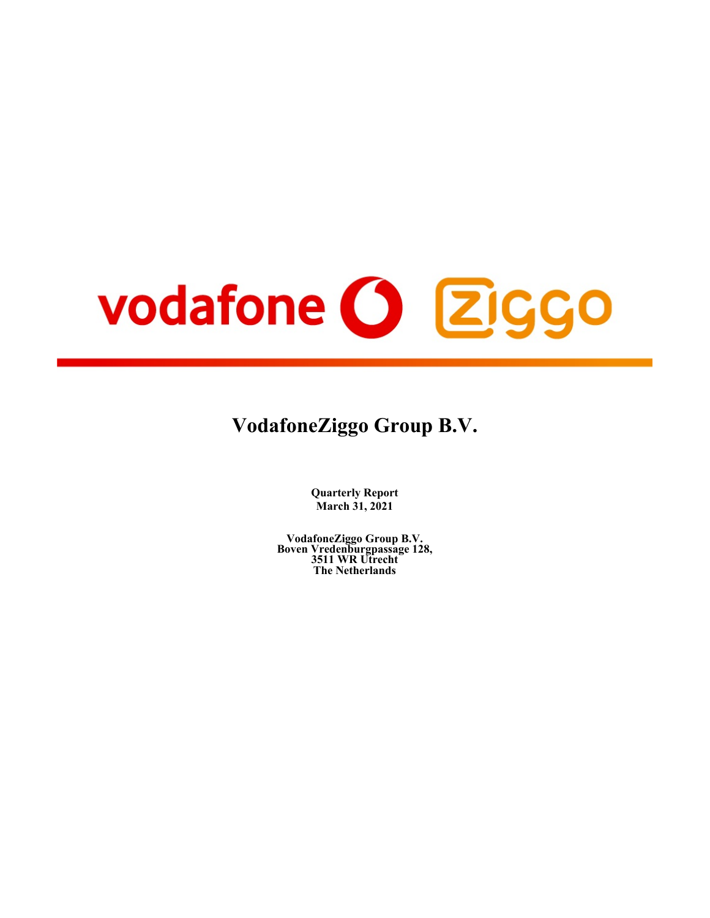# vodafone O Ziggo

# **VodafoneZiggo Group B.V.**

**Quarterly Report March 31, 2021**

**VodafoneZiggo Group B.V. Boven Vredenburgpassage 128, 3511 WR Utrecht The Netherlands**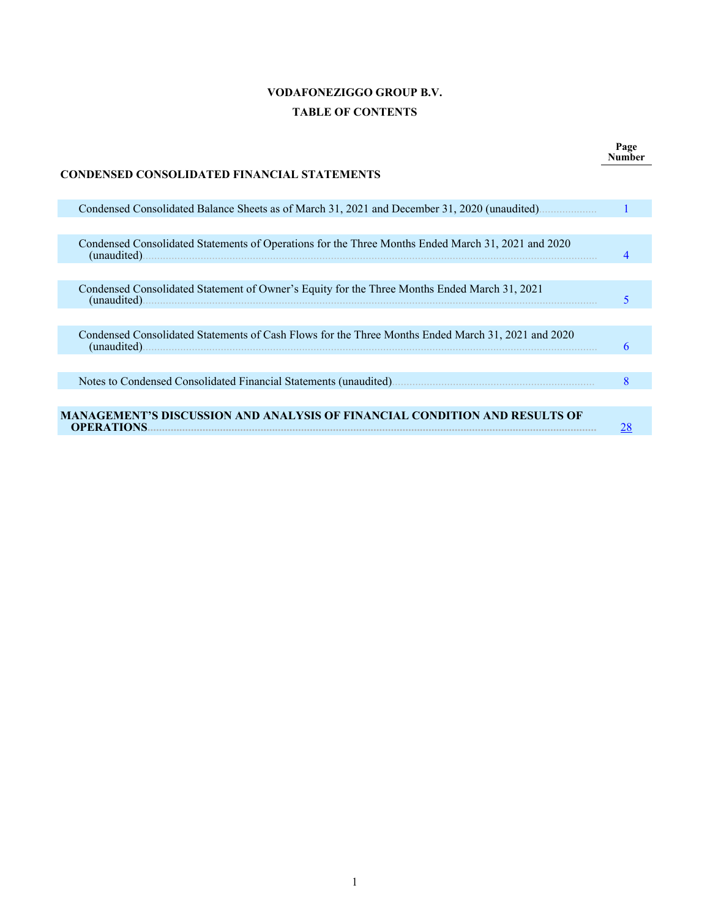# **VODAFONEZIGGO GROUP B.V. TABLE OF CONTENTS**

**Page Number**

| CONDENSED CONSOLIDATED FINANCIAL STATEMENTS                                                                            |   |
|------------------------------------------------------------------------------------------------------------------------|---|
| Condensed Consolidated Balance Sheets as of March 31, 2021 and December 31, 2020 (unaudited)<br><b>Service Service</b> |   |
|                                                                                                                        |   |
| Condensed Consolidated Statements of Operations for the Three Months Ended March 31, 2021 and 2020<br>(unaudited).     |   |
|                                                                                                                        |   |
| Condensed Consolidated Statement of Owner's Equity for the Three Months Ended March 31, 2021                           |   |
|                                                                                                                        |   |
| Condensed Consolidated Statements of Cash Flows for the Three Months Ended March 31, 2021 and 2020<br>(unaudited).     |   |
|                                                                                                                        |   |
|                                                                                                                        | 8 |
|                                                                                                                        |   |
| MANAGEMENT'S DISCUSSION AND ANALYSIS OF FINANCIAL CONDITION AND RESULTS OF<br><b>OPERATIONS.</b>                       |   |

# **CONDENSED CONSOLIDATED FINANCIAL STATEMENTS**

r.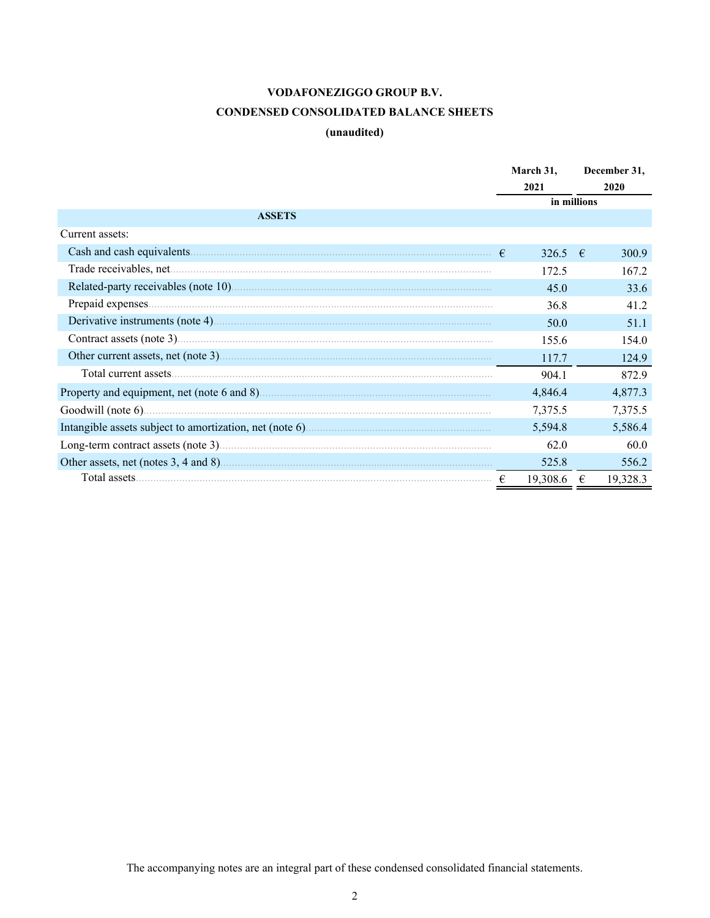# **CONDENSED CONSOLIDATED BALANCE SHEETS**

# **(unaudited)**

<span id="page-2-0"></span>

|                 | March 31,   | December 31, |          |
|-----------------|-------------|--------------|----------|
|                 | 2021        |              | 2020     |
|                 | in millions |              |          |
| <b>ASSETS</b>   |             |              |          |
| Current assets: |             |              |          |
|                 | 326.5 $\in$ |              | 300.9    |
|                 | 172.5       |              | 167.2    |
|                 | 45.0        |              | 33.6     |
|                 | 36.8        |              | 41.2     |
|                 | 50.0        |              | 51.1     |
|                 | 155.6       |              | 154.0    |
|                 | 117.7       |              | 124.9    |
|                 | 904.1       |              | 872.9    |
|                 | 4,846.4     |              | 4,877.3  |
|                 | 7,375.5     |              | 7,375.5  |
|                 | 5,594.8     |              | 5,586.4  |
|                 | 62.0        |              | 60.0     |
|                 | 525.8       |              | 556.2    |
|                 | 19,308.6    | €            | 19,328.3 |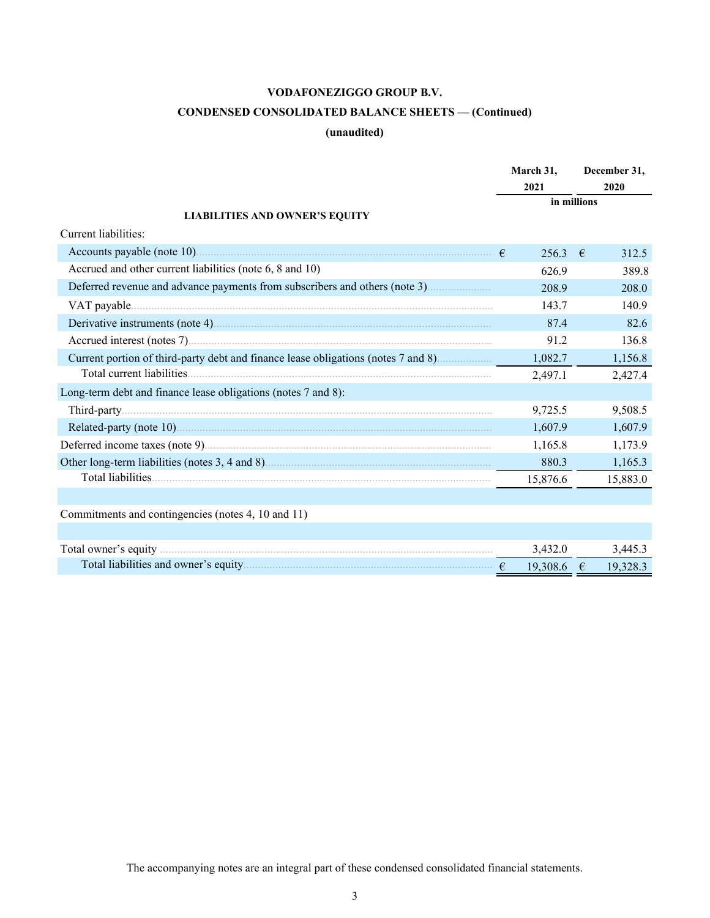# **CONDENSED CONSOLIDATED BALANCE SHEETS — (Continued)**

# **(unaudited)**

|                                                                                   |  | March 31,<br>2021<br>in millions |             | December 31, |
|-----------------------------------------------------------------------------------|--|----------------------------------|-------------|--------------|
|                                                                                   |  |                                  |             | 2020         |
| <b>LIABILITIES AND OWNER'S EQUITY</b>                                             |  |                                  |             |              |
| Current liabilities:                                                              |  |                                  |             |              |
|                                                                                   |  | 256.3                            | $-\epsilon$ | 312.5        |
| Accrued and other current liabilities (note 6, 8 and 10)                          |  | 626.9                            |             | 389.8        |
|                                                                                   |  | 208.9                            |             | 208.0        |
|                                                                                   |  | 143.7                            |             | 140.9        |
|                                                                                   |  | 87.4                             |             | 82.6         |
|                                                                                   |  | 91.2                             |             | 136.8        |
| Current portion of third-party debt and finance lease obligations (notes 7 and 8) |  | 1,082.7                          |             | 1,156.8      |
|                                                                                   |  | 2,497.1                          |             | 2,427.4      |
| Long-term debt and finance lease obligations (notes 7 and 8):                     |  |                                  |             |              |
|                                                                                   |  | 9,725.5                          |             | 9,508.5      |
|                                                                                   |  | 1,607.9                          |             | 1,607.9      |
|                                                                                   |  | 1,165.8                          |             | 1,173.9      |
|                                                                                   |  | 880.3                            |             | 1,165.3      |
|                                                                                   |  | 15,876.6                         |             | 15,883.0     |
|                                                                                   |  |                                  |             |              |
| Commitments and contingencies (notes 4, 10 and 11)                                |  |                                  |             |              |
|                                                                                   |  |                                  |             |              |
|                                                                                   |  | 3,432.0                          |             | 3,445.3      |
|                                                                                   |  | 19,308.6 €                       |             | 19,328.3     |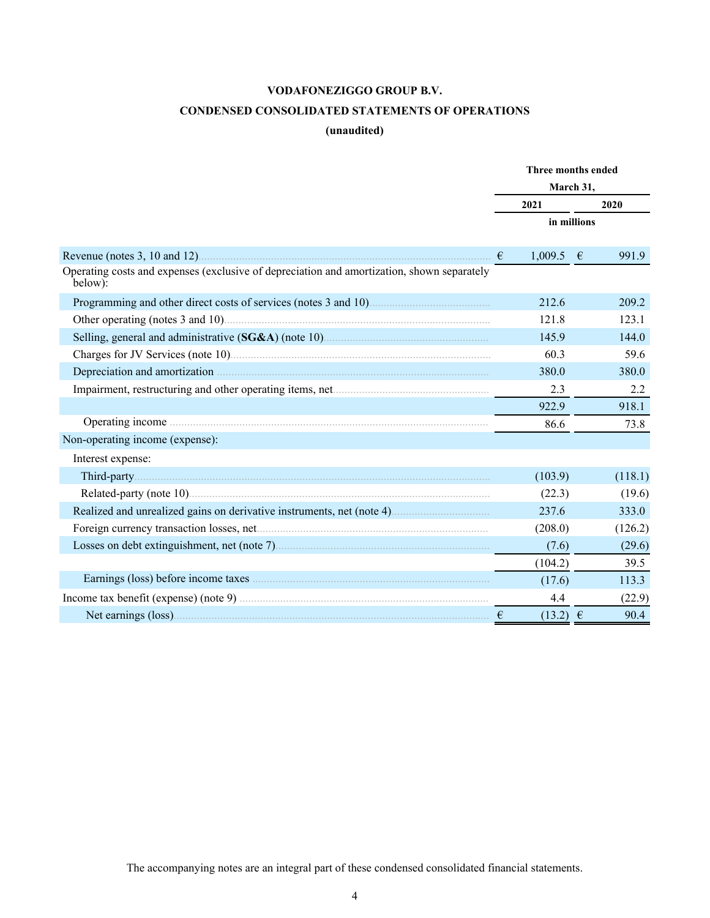# **CONDENSED CONSOLIDATED STATEMENTS OF OPERATIONS**

# **(unaudited)**

<span id="page-4-0"></span>

|                                                                                                       | Three months ended        |             |  |  |
|-------------------------------------------------------------------------------------------------------|---------------------------|-------------|--|--|
|                                                                                                       |                           | March 31,   |  |  |
|                                                                                                       | 2021                      | 2020        |  |  |
|                                                                                                       |                           | in millions |  |  |
|                                                                                                       | $\epsilon$<br>$1,009.5$ € | 991.9       |  |  |
| Operating costs and expenses (exclusive of depreciation and amortization, shown separately<br>below): |                           |             |  |  |
|                                                                                                       | 212.6                     | 209.2       |  |  |
|                                                                                                       | 121.8                     | 123.1       |  |  |
|                                                                                                       | 145.9                     | 144.0       |  |  |
|                                                                                                       | 60.3                      | 59.6        |  |  |
|                                                                                                       | 380.0                     | 380.0       |  |  |
|                                                                                                       | 2.3                       | 2.2         |  |  |
|                                                                                                       | 922.9                     | 918.1       |  |  |
|                                                                                                       | 86.6                      | 73.8        |  |  |
| Non-operating income (expense):                                                                       |                           |             |  |  |
| Interest expense:                                                                                     |                           |             |  |  |
|                                                                                                       | (103.9)                   | (118.1)     |  |  |
|                                                                                                       | (22.3)                    | (19.6)      |  |  |
|                                                                                                       | 237.6                     | 333.0       |  |  |
|                                                                                                       | (208.0)                   | (126.2)     |  |  |
|                                                                                                       | (7.6)                     | (29.6)      |  |  |
|                                                                                                       | (104.2)                   | 39.5        |  |  |
|                                                                                                       | (17.6)                    | 113.3       |  |  |
|                                                                                                       | 4.4                       | (22.9)      |  |  |
|                                                                                                       | $(13.2) \t∈$              | 90.4        |  |  |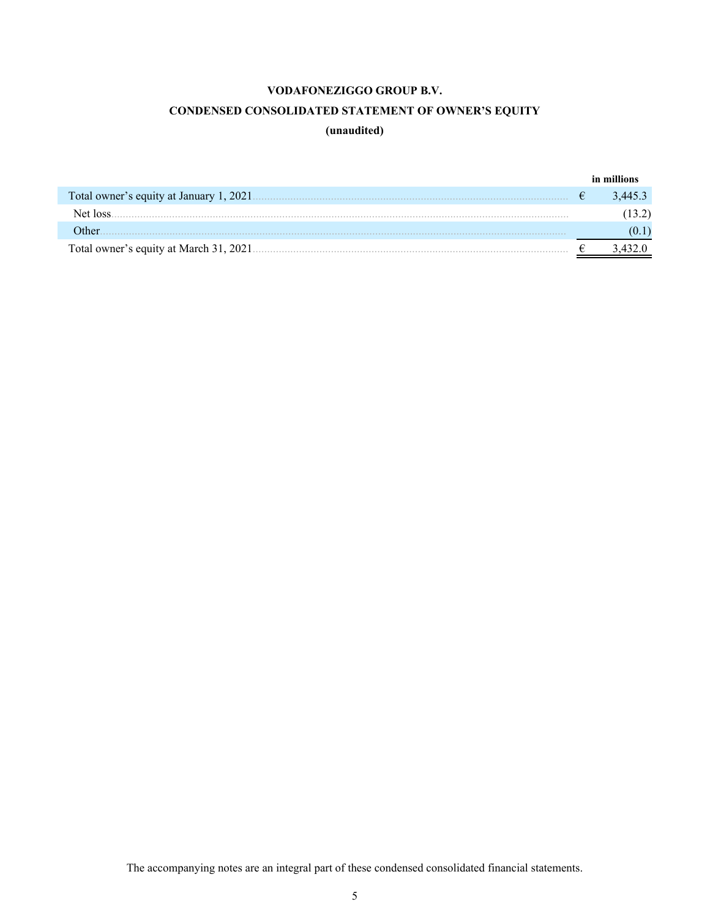# **CONDENSED CONSOLIDATED STATEMENT OF OWNER'S EQUITY**

# **(unaudited)**

<span id="page-5-0"></span>

|                                          | in millions |
|------------------------------------------|-------------|
| Total owner's equity at January 1, 2021. | 3 445 3     |
| Net loss                                 |             |
| Dther (                                  |             |
| Total owner's equity at March 31, 2021.  |             |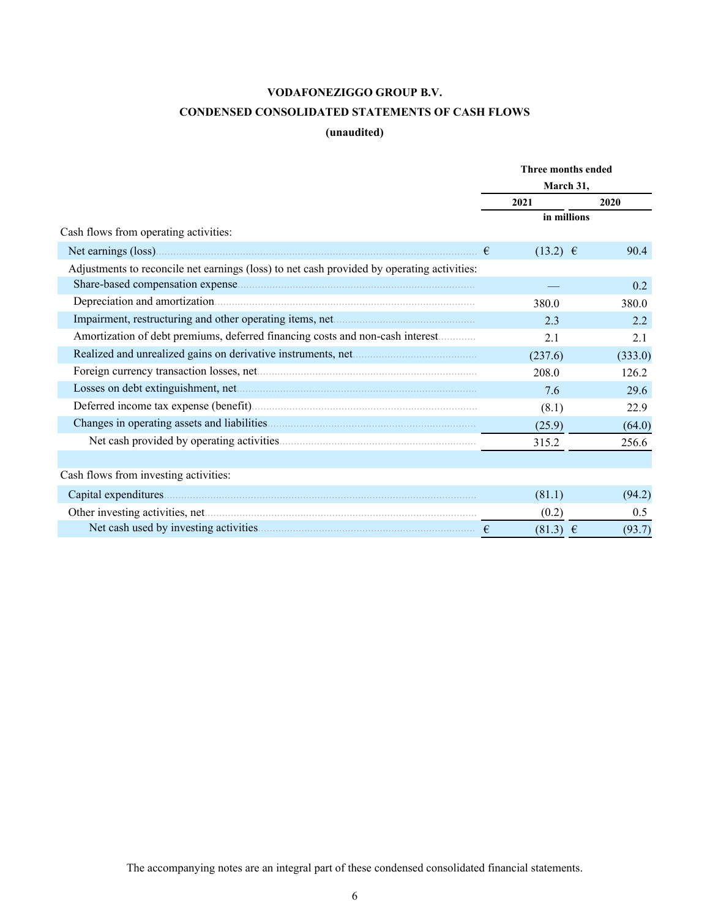# **CONDENSED CONSOLIDATED STATEMENTS OF CASH FLOWS**

# **(unaudited)**

<span id="page-6-0"></span>

|                                                                                            |            | Three months ended |         |
|--------------------------------------------------------------------------------------------|------------|--------------------|---------|
|                                                                                            |            | March 31,          |         |
|                                                                                            |            | 2021               | 2020    |
|                                                                                            |            | in millions        |         |
| Cash flows from operating activities:                                                      |            |                    |         |
|                                                                                            | $\epsilon$ | $(13.2) \t∈$       | 90.4    |
| Adjustments to reconcile net earnings (loss) to net cash provided by operating activities: |            |                    |         |
|                                                                                            |            |                    | 0.2     |
|                                                                                            |            | 380.0              | 380.0   |
|                                                                                            |            | 2.3                | 2.2     |
| Amortization of debt premiums, deferred financing costs and non-cash interest              |            | 2.1                | 2.1     |
| Realized and unrealized gains on derivative instruments, net                               |            | (237.6)            | (333.0) |
|                                                                                            |            | 208.0              | 126.2   |
|                                                                                            |            | 7.6                | 29.6    |
|                                                                                            |            | (8.1)              | 22.9    |
|                                                                                            |            | (25.9)             | (64.0)  |
|                                                                                            |            | 315.2              | 256.6   |
|                                                                                            |            |                    |         |
| Cash flows from investing activities:                                                      |            |                    |         |
|                                                                                            |            | (81.1)             | (94.2)  |
|                                                                                            |            | (0.2)              | 0.5     |
|                                                                                            |            | $(81.3) \in$       | (93.7)  |
|                                                                                            |            |                    |         |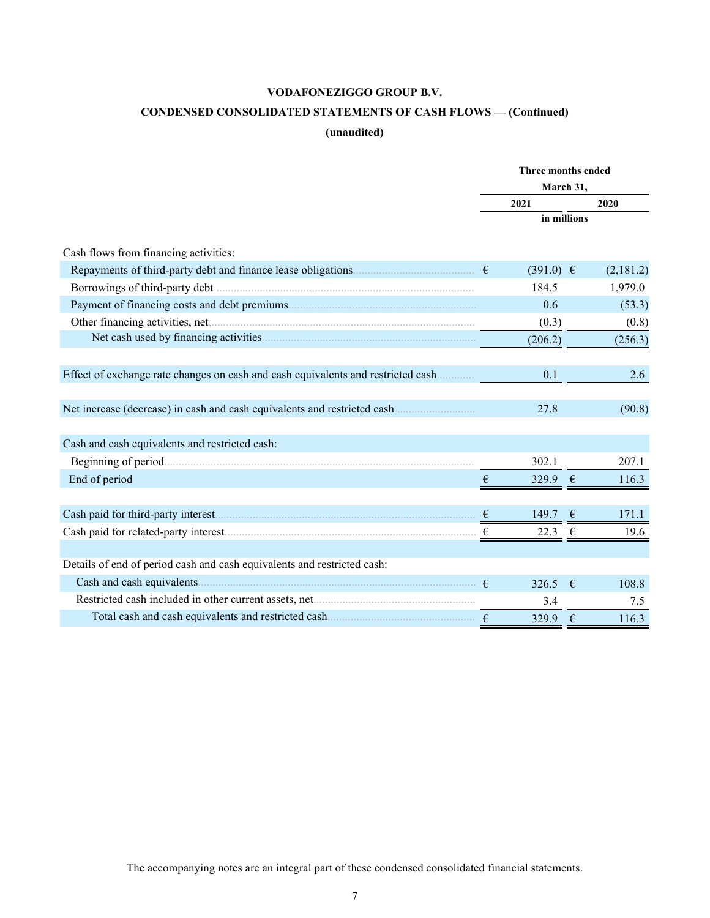# **CONDENSED CONSOLIDATED STATEMENTS OF CASH FLOWS — (Continued)**

# **(unaudited)**

|                                                                                  | Three months ended |                  |             |           |  |
|----------------------------------------------------------------------------------|--------------------|------------------|-------------|-----------|--|
|                                                                                  |                    | March 31,        |             |           |  |
|                                                                                  |                    | 2021             |             | 2020      |  |
|                                                                                  |                    |                  | in millions |           |  |
| Cash flows from financing activities:                                            |                    |                  |             |           |  |
| Repayments of third-party debt and finance lease obligations.                    |                    | $(391.0) \in$    |             | (2,181.2) |  |
|                                                                                  |                    | 184.5            |             | 1,979.0   |  |
|                                                                                  |                    | 0.6              |             | (53.3)    |  |
|                                                                                  |                    | (0.3)            |             | (0.8)     |  |
|                                                                                  |                    | (206.2)          |             | (256.3)   |  |
| Effect of exchange rate changes on cash and cash equivalents and restricted cash |                    | 0.1              |             | 2.6       |  |
|                                                                                  |                    | 27.8             |             | (90.8)    |  |
| Cash and cash equivalents and restricted cash:                                   |                    |                  |             |           |  |
|                                                                                  |                    | 302.1            |             | 207.1     |  |
| End of period                                                                    | €                  | 329.9 $\epsilon$ |             | 116.3     |  |
|                                                                                  |                    | 149.7            | $\epsilon$  | 171.1     |  |
|                                                                                  | €                  | 22.3             | €           | 19.6      |  |
| Details of end of period cash and cash equivalents and restricted cash:          |                    |                  |             |           |  |
|                                                                                  |                    | 326.5            | $\epsilon$  | 108.8     |  |
|                                                                                  |                    | 3.4              |             | 7.5       |  |
|                                                                                  |                    | 329.9            | $\epsilon$  | 116.3     |  |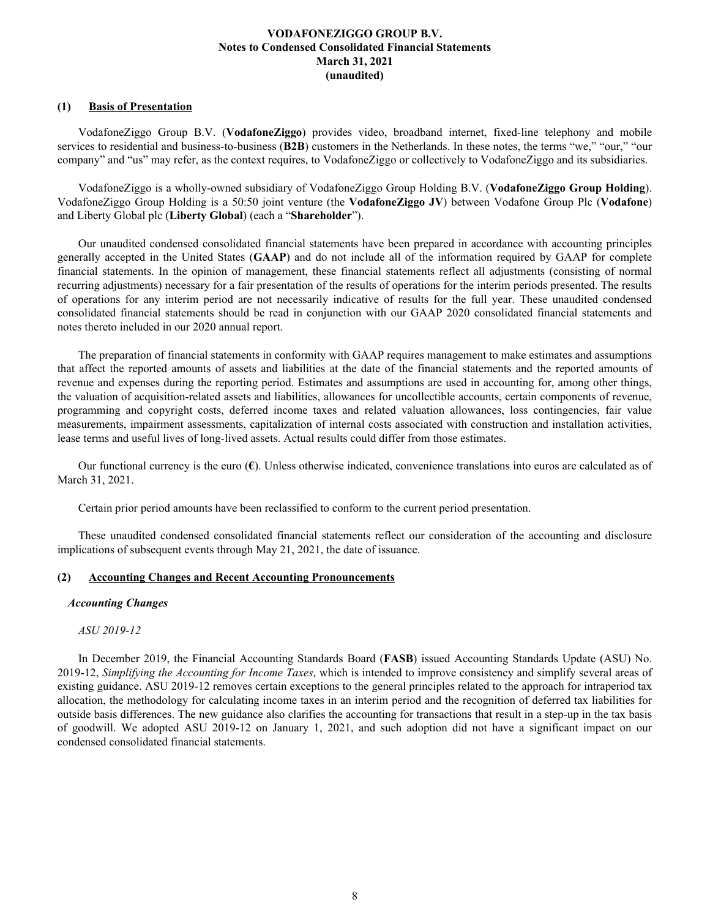# <span id="page-8-0"></span>**(1) Basis of Presentation**

VodafoneZiggo Group B.V. (**VodafoneZiggo**) provides video, broadband internet, fixed-line telephony and mobile services to residential and business-to-business (**B2B**) customers in the Netherlands. In these notes, the terms "we," "our," "our company" and "us" may refer, as the context requires, to VodafoneZiggo or collectively to VodafoneZiggo and its subsidiaries.

VodafoneZiggo is a wholly-owned subsidiary of VodafoneZiggo Group Holding B.V. (**VodafoneZiggo Group Holding**). VodafoneZiggo Group Holding is a 50:50 joint venture (the **VodafoneZiggo JV**) between Vodafone Group Plc (**Vodafone**) and Liberty Global plc (**Liberty Global**) (each a "**Shareholder**").

Our unaudited condensed consolidated financial statements have been prepared in accordance with accounting principles generally accepted in the United States (**GAAP**) and do not include all of the information required by GAAP for complete financial statements. In the opinion of management, these financial statements reflect all adjustments (consisting of normal recurring adjustments) necessary for a fair presentation of the results of operations for the interim periods presented. The results of operations for any interim period are not necessarily indicative of results for the full year. These unaudited condensed consolidated financial statements should be read in conjunction with our GAAP 2020 consolidated financial statements and notes thereto included in our 2020 annual report.

The preparation of financial statements in conformity with GAAP requires management to make estimates and assumptions that affect the reported amounts of assets and liabilities at the date of the financial statements and the reported amounts of revenue and expenses during the reporting period. Estimates and assumptions are used in accounting for, among other things, the valuation of acquisition-related assets and liabilities, allowances for uncollectible accounts, certain components of revenue, programming and copyright costs, deferred income taxes and related valuation allowances, loss contingencies, fair value measurements, impairment assessments, capitalization of internal costs associated with construction and installation activities, lease terms and useful lives of long-lived assets. Actual results could differ from those estimates.

Our functional currency is the euro (**€**). Unless otherwise indicated, convenience translations into euros are calculated as of March 31, 2021.

Certain prior period amounts have been reclassified to conform to the current period presentation.

These unaudited condensed consolidated financial statements reflect our consideration of the accounting and disclosure implications of subsequent events through May 21, 2021, the date of issuance.

### **(2) Accounting Changes and Recent Accounting Pronouncements**

### *Accounting Changes*

# *ASU 2019-12*

In December 2019, the Financial Accounting Standards Board (**FASB**) issued Accounting Standards Update (ASU) No. 2019-12, *Simplifying the Accounting for Income Taxes*, which is intended to improve consistency and simplify several areas of existing guidance. ASU 2019-12 removes certain exceptions to the general principles related to the approach for intraperiod tax allocation, the methodology for calculating income taxes in an interim period and the recognition of deferred tax liabilities for outside basis differences. The new guidance also clarifies the accounting for transactions that result in a step-up in the tax basis of goodwill. We adopted ASU 2019-12 on January 1, 2021, and such adoption did not have a significant impact on our condensed consolidated financial statements.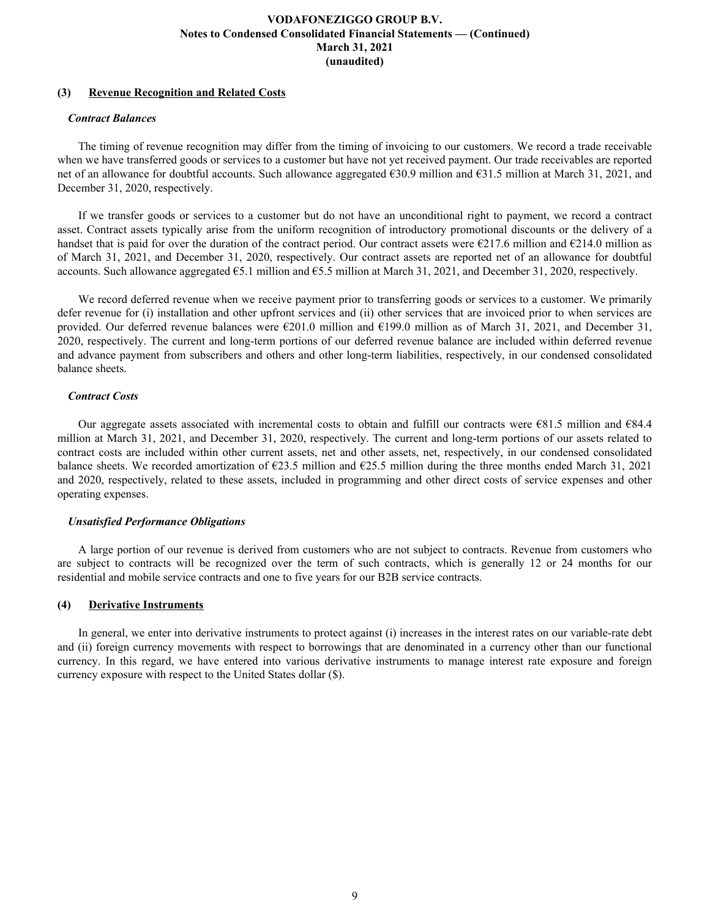# **(3) Revenue Recognition and Related Costs**

### *Contract Balances*

The timing of revenue recognition may differ from the timing of invoicing to our customers. We record a trade receivable when we have transferred goods or services to a customer but have not yet received payment. Our trade receivables are reported net of an allowance for doubtful accounts. Such allowance aggregated €30.9 million and €31.5 million at March 31, 2021, and December 31, 2020, respectively.

If we transfer goods or services to a customer but do not have an unconditional right to payment, we record a contract asset. Contract assets typically arise from the uniform recognition of introductory promotional discounts or the delivery of a handset that is paid for over the duration of the contract period. Our contract assets were  $\epsilon$ 217.6 million and  $\epsilon$ 214.0 million as of March 31, 2021, and December 31, 2020, respectively. Our contract assets are reported net of an allowance for doubtful accounts. Such allowance aggregated  $\epsilon$ 5.1 million and  $\epsilon$ 5.5 million at March 31, 2021, and December 31, 2020, respectively.

We record deferred revenue when we receive payment prior to transferring goods or services to a customer. We primarily defer revenue for (i) installation and other upfront services and (ii) other services that are invoiced prior to when services are provided. Our deferred revenue balances were  $\epsilon$ 201.0 million and  $\epsilon$ 199.0 million as of March 31, 2021, and December 31, 2020, respectively. The current and long-term portions of our deferred revenue balance are included within deferred revenue and advance payment from subscribers and others and other long-term liabilities, respectively, in our condensed consolidated balance sheets.

# *Contract Costs*

Our aggregate assets associated with incremental costs to obtain and fulfill our contracts were  $\epsilon$ 81.5 million and  $\epsilon$ 84.4 million at March 31, 2021, and December 31, 2020, respectively. The current and long-term portions of our assets related to contract costs are included within other current assets, net and other assets, net, respectively, in our condensed consolidated balance sheets. We recorded amortization of  $\epsilon$ 23.5 million and  $\epsilon$ 25.5 million during the three months ended March 31, 2021 and 2020, respectively, related to these assets, included in programming and other direct costs of service expenses and other operating expenses.

### *Unsatisfied Performance Obligations*

A large portion of our revenue is derived from customers who are not subject to contracts. Revenue from customers who are subject to contracts will be recognized over the term of such contracts, which is generally 12 or 24 months for our residential and mobile service contracts and one to five years for our B2B service contracts.

# **(4) Derivative Instruments**

In general, we enter into derivative instruments to protect against (i) increases in the interest rates on our variable-rate debt and (ii) foreign currency movements with respect to borrowings that are denominated in a currency other than our functional currency. In this regard, we have entered into various derivative instruments to manage interest rate exposure and foreign currency exposure with respect to the United States dollar (\$).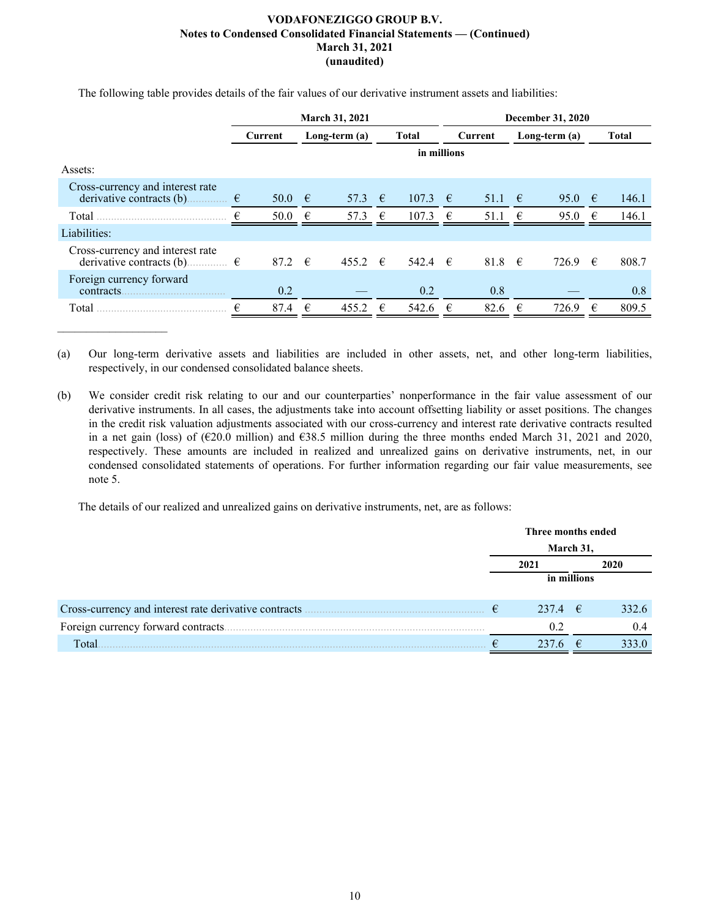**March 31, 2021 December 31, 2020 Current Long-term (a) Total Current Long-term (a) Total in millions** Assets: Cross-currency and interest rate derivative contracts (b)...............  $\epsilon$  50.0  $\epsilon$  57.3  $\epsilon$  107.3  $\epsilon$  51.1  $\epsilon$  95.0  $\epsilon$  146.1 Total ............................................. € 50.0 € 57.3 € 107.3 € 51.1 € 95.0 € 146.1 Liabilities: Cross-currency and interest rate derivative contracts (b)...................  $\epsilon$  87.2  $\epsilon$  455.2  $\epsilon$  542.4  $\epsilon$  81.8  $\epsilon$  726.9  $\epsilon$  808.7 Foreign currency forward contracts.................................... 0.2 — 0.2 0.8 — 0.8 Total ............................................. € 87.4 € 455.2 € 542.6 € 82.6 € 726.9 € 809.5

The following table provides details of the fair values of our derivative instrument assets and liabilities:

(a) Our long-term derivative assets and liabilities are included in other assets, net, and other long-term liabilities, respectively, in our condensed consolidated balance sheets.

(b) We consider credit risk relating to our and our counterparties' nonperformance in the fair value assessment of our derivative instruments. In all cases, the adjustments take into account offsetting liability or asset positions. The changes in the credit risk valuation adjustments associated with our cross-currency and interest rate derivative contracts resulted in a net gain (loss) of ( $\epsilon$ 20.0 million) and  $\epsilon$ 38.5 million during the three months ended March 31, 2021 and 2020, respectively. These amounts are included in realized and unrealized gains on derivative instruments, net, in our condensed consolidated statements of operations. For further information regarding our fair value measurements, see note 5.

The details of our realized and unrealized gains on derivative instruments, net, are as follows:

|       |           | Three months ended |  |       |
|-------|-----------|--------------------|--|-------|
|       | March 31, |                    |  |       |
|       |           | 2021               |  | 2020  |
|       |           | in millions        |  |       |
|       |           | 237.4 $\epsilon$   |  | 332.6 |
|       |           |                    |  |       |
|       |           | 02                 |  | (14)  |
| Total |           | 237                |  | 333 O |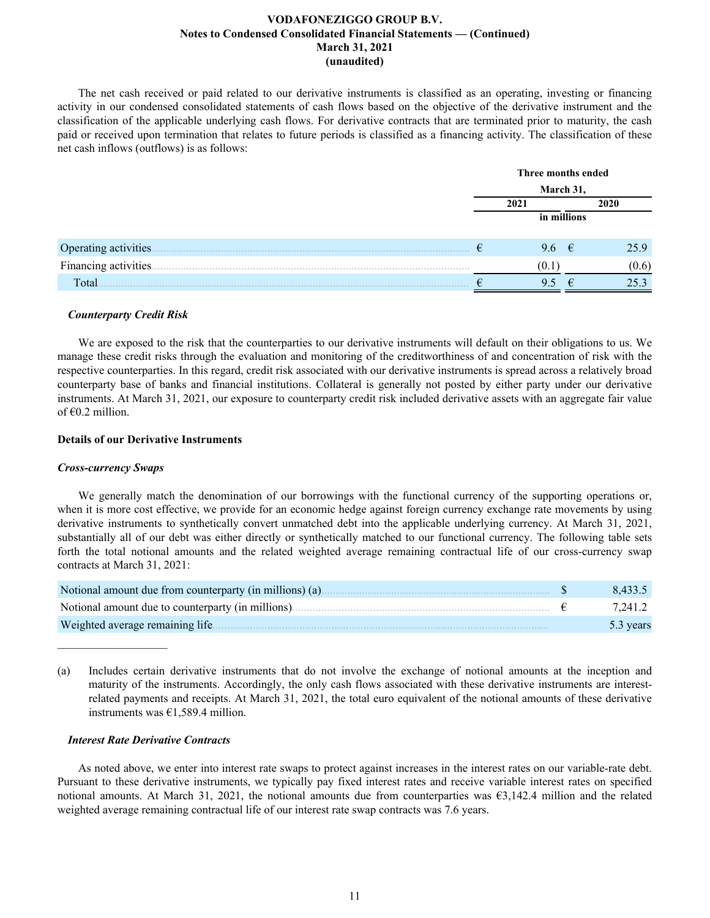The net cash received or paid related to our derivative instruments is classified as an operating, investing or financing activity in our condensed consolidated statements of cash flows based on the objective of the derivative instrument and the classification of the applicable underlying cash flows. For derivative contracts that are terminated prior to maturity, the cash paid or received upon termination that relates to future periods is classified as a financing activity. The classification of these net cash inflows (outflows) is as follows:

|                       | Three months ended |  |       |  |
|-----------------------|--------------------|--|-------|--|
|                       | March 31,          |  |       |  |
|                       | 2021               |  | 2020  |  |
|                       | in millions        |  |       |  |
|                       |                    |  |       |  |
| Operating activities. | 9.6 $\epsilon$     |  | 25.9  |  |
| Financing activities  | LV. 1              |  | (0.6) |  |
| Total                 | 9.5                |  |       |  |

### *Counterparty Credit Risk*

We are exposed to the risk that the counterparties to our derivative instruments will default on their obligations to us. We manage these credit risks through the evaluation and monitoring of the creditworthiness of and concentration of risk with the respective counterparties. In this regard, credit risk associated with our derivative instruments is spread across a relatively broad counterparty base of banks and financial institutions. Collateral is generally not posted by either party under our derivative instruments. At March 31, 2021, our exposure to counterparty credit risk included derivative assets with an aggregate fair value of  $\epsilon$ 0.2 million.

### **Details of our Derivative Instruments**

### *Cross-currency Swaps*

 $\mathcal{L}_\text{max}$  , where  $\mathcal{L}_\text{max}$  and  $\mathcal{L}_\text{max}$ 

We generally match the denomination of our borrowings with the functional currency of the supporting operations or, when it is more cost effective, we provide for an economic hedge against foreign currency exchange rate movements by using derivative instruments to synthetically convert unmatched debt into the applicable underlying currency. At March 31, 2021, substantially all of our debt was either directly or synthetically matched to our functional currency. The following table sets forth the total notional amounts and the related weighted average remaining contractual life of our cross-currency swap contracts at March 31, 2021:

| Notional amount due from counterparty (in millions) (a). | 8.433.5   |
|----------------------------------------------------------|-----------|
| Notional amount due to counterparty (in millions).       | 7.241.2   |
| Weighted average remaining life.                         | 5.3 years |

(a) Includes certain derivative instruments that do not involve the exchange of notional amounts at the inception and maturity of the instruments. Accordingly, the only cash flows associated with these derivative instruments are interestrelated payments and receipts. At March 31, 2021, the total euro equivalent of the notional amounts of these derivative instruments was €1,589.4 million.

### *Interest Rate Derivative Contracts*

As noted above, we enter into interest rate swaps to protect against increases in the interest rates on our variable-rate debt. Pursuant to these derivative instruments, we typically pay fixed interest rates and receive variable interest rates on specified notional amounts. At March 31, 2021, the notional amounts due from counterparties was €3,142.4 million and the related weighted average remaining contractual life of our interest rate swap contracts was 7.6 years.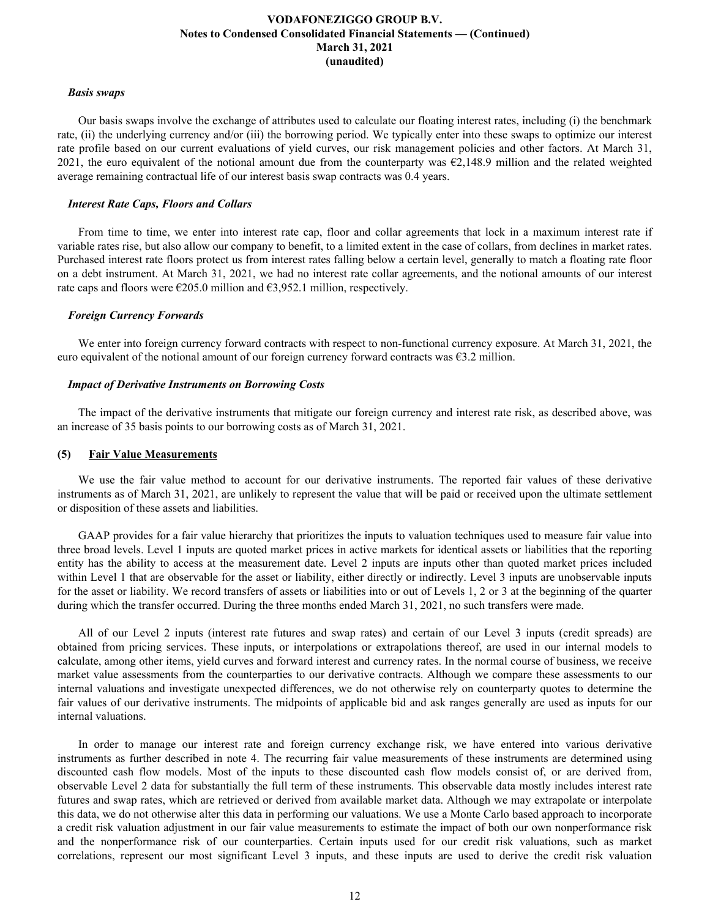### *Basis swaps*

Our basis swaps involve the exchange of attributes used to calculate our floating interest rates, including (i) the benchmark rate, (ii) the underlying currency and/or (iii) the borrowing period. We typically enter into these swaps to optimize our interest rate profile based on our current evaluations of yield curves, our risk management policies and other factors. At March 31, 2021, the euro equivalent of the notional amount due from the counterparty was  $\epsilon$ 2,148.9 million and the related weighted average remaining contractual life of our interest basis swap contracts was 0.4 years.

### *Interest Rate Caps, Floors and Collars*

From time to time, we enter into interest rate cap, floor and collar agreements that lock in a maximum interest rate if variable rates rise, but also allow our company to benefit, to a limited extent in the case of collars, from declines in market rates. Purchased interest rate floors protect us from interest rates falling below a certain level, generally to match a floating rate floor on a debt instrument. At March 31, 2021, we had no interest rate collar agreements, and the notional amounts of our interest rate caps and floors were  $\epsilon$ 205.0 million and  $\epsilon$ 3,952.1 million, respectively.

### *Foreign Currency Forwards*

We enter into foreign currency forward contracts with respect to non-functional currency exposure. At March 31, 2021, the euro equivalent of the notional amount of our foreign currency forward contracts was €3.2 million.

### *Impact of Derivative Instruments on Borrowing Costs*

The impact of the derivative instruments that mitigate our foreign currency and interest rate risk, as described above, was an increase of 35 basis points to our borrowing costs as of March 31, 2021.

### **(5) Fair Value Measurements**

We use the fair value method to account for our derivative instruments. The reported fair values of these derivative instruments as of March 31, 2021, are unlikely to represent the value that will be paid or received upon the ultimate settlement or disposition of these assets and liabilities.

GAAP provides for a fair value hierarchy that prioritizes the inputs to valuation techniques used to measure fair value into three broad levels. Level 1 inputs are quoted market prices in active markets for identical assets or liabilities that the reporting entity has the ability to access at the measurement date. Level 2 inputs are inputs other than quoted market prices included within Level 1 that are observable for the asset or liability, either directly or indirectly. Level 3 inputs are unobservable inputs for the asset or liability. We record transfers of assets or liabilities into or out of Levels 1, 2 or 3 at the beginning of the quarter during which the transfer occurred. During the three months ended March 31, 2021, no such transfers were made.

All of our Level 2 inputs (interest rate futures and swap rates) and certain of our Level 3 inputs (credit spreads) are obtained from pricing services. These inputs, or interpolations or extrapolations thereof, are used in our internal models to calculate, among other items, yield curves and forward interest and currency rates. In the normal course of business, we receive market value assessments from the counterparties to our derivative contracts. Although we compare these assessments to our internal valuations and investigate unexpected differences, we do not otherwise rely on counterparty quotes to determine the fair values of our derivative instruments. The midpoints of applicable bid and ask ranges generally are used as inputs for our internal valuations.

In order to manage our interest rate and foreign currency exchange risk, we have entered into various derivative instruments as further described in note 4. The recurring fair value measurements of these instruments are determined using discounted cash flow models. Most of the inputs to these discounted cash flow models consist of, or are derived from, observable Level 2 data for substantially the full term of these instruments. This observable data mostly includes interest rate futures and swap rates, which are retrieved or derived from available market data. Although we may extrapolate or interpolate this data, we do not otherwise alter this data in performing our valuations. We use a Monte Carlo based approach to incorporate a credit risk valuation adjustment in our fair value measurements to estimate the impact of both our own nonperformance risk and the nonperformance risk of our counterparties. Certain inputs used for our credit risk valuations, such as market correlations, represent our most significant Level 3 inputs, and these inputs are used to derive the credit risk valuation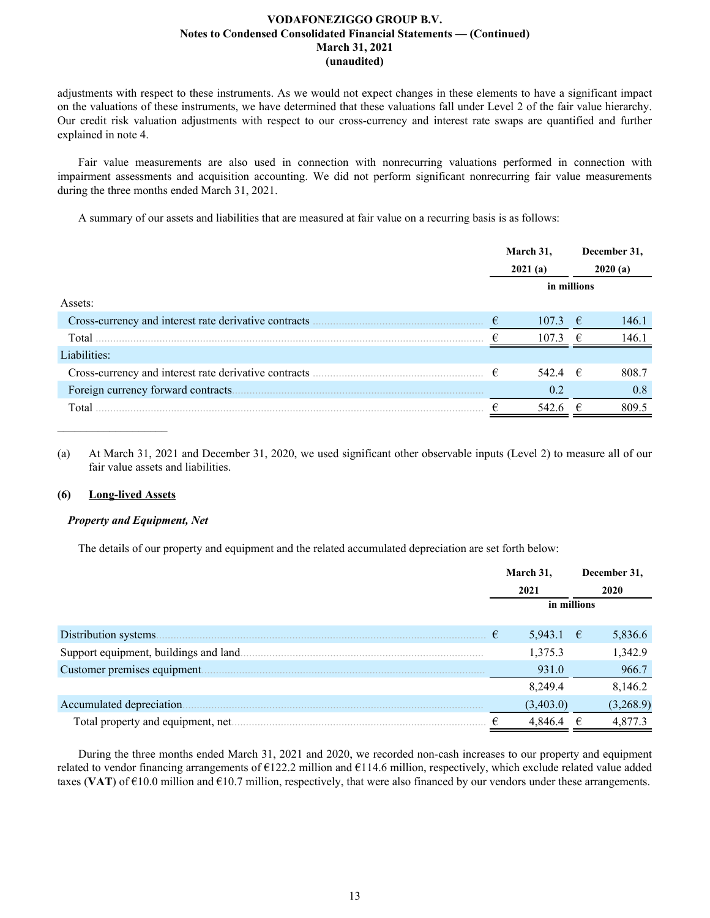adjustments with respect to these instruments. As we would not expect changes in these elements to have a significant impact on the valuations of these instruments, we have determined that these valuations fall under Level 2 of the fair value hierarchy. Our credit risk valuation adjustments with respect to our cross-currency and interest rate swaps are quantified and further explained in note 4.

Fair value measurements are also used in connection with nonrecurring valuations performed in connection with impairment assessments and acquisition accounting. We did not perform significant nonrecurring fair value measurements during the three months ended March 31, 2021.

A summary of our assets and liabilities that are measured at fair value on a recurring basis is as follows:

|                                                       | March 31,<br>2021(a) |             | December 31,<br>2020(a) |       |
|-------------------------------------------------------|----------------------|-------------|-------------------------|-------|
|                                                       | in millions          |             |                         |       |
| Assets:                                               |                      |             |                         |       |
| Cross-currency and interest rate derivative contracts | €                    | 107.3       | €                       | 146.1 |
| Total                                                 |                      | 107.3       | €                       | 146.1 |
| Liabilities:                                          |                      |             |                         |       |
|                                                       | €                    | 542.4 $\in$ |                         | 808.7 |
| Foreign currency forward contracts.                   |                      | 0.2         |                         | 0.8   |
| Total                                                 |                      | 542.6       | €                       | 809.5 |
|                                                       |                      |             |                         |       |

(a) At March 31, 2021 and December 31, 2020, we used significant other observable inputs (Level 2) to measure all of our fair value assets and liabilities.

### **(6) Long-lived Assets**

### *Property and Equipment, Net*

The details of our property and equipment and the related accumulated depreciation are set forth below:

|                                    | March 31,   |   | December 31, |
|------------------------------------|-------------|---|--------------|
|                                    | 2021        |   | 2020         |
|                                    | in millions |   |              |
|                                    |             |   |              |
| Distribution systems.              | 5,943.1 €   |   | 5,836.6      |
|                                    | 1,375.3     |   | 1,342.9      |
| Customer premises equipment.       | 931.0       |   | 966.7        |
|                                    | 8,249.4     |   | 8,146.2      |
| Accumulated depreciation.          | (3,403.0)   |   | (3,268.9)    |
| Total property and equipment, net. | 4,846.4     | € | 4,877.3      |

During the three months ended March 31, 2021 and 2020, we recorded non-cash increases to our property and equipment related to vendor financing arrangements of  $\epsilon$ 122.2 million and  $\epsilon$ 114.6 million, respectively, which exclude related value added taxes (VAT) of  $\epsilon$ 10.0 million and  $\epsilon$ 10.7 million, respectively, that were also financed by our vendors under these arrangements.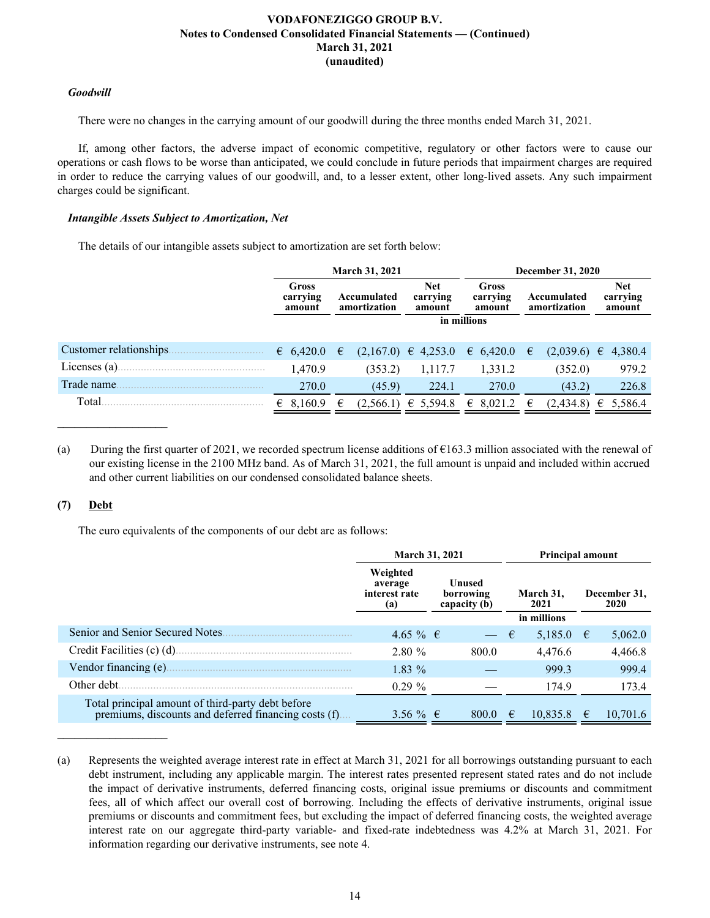# *Goodwill*

There were no changes in the carrying amount of our goodwill during the three months ended March 31, 2021.

If, among other factors, the adverse impact of economic competitive, regulatory or other factors were to cause our operations or cash flows to be worse than anticipated, we could conclude in future periods that impairment charges are required in order to reduce the carrying values of our goodwill, and, to a lesser extent, other long-lived assets. Any such impairment charges could be significant.

# *Intangible Assets Subject to Amortization, Net*

The details of our intangible assets subject to amortization are set forth below:

|                         | <b>March 31, 2021</b>       |   |                             |                                  |                                    | <b>December 31, 2020</b> |                             |  |                                  |  |
|-------------------------|-----------------------------|---|-----------------------------|----------------------------------|------------------------------------|--------------------------|-----------------------------|--|----------------------------------|--|
|                         | Gross<br>carrying<br>amount |   | Accumulated<br>amortization | <b>Net</b><br>carrying<br>amount | <b>Gross</b><br>carrying<br>amount |                          | Accumulated<br>amortization |  | <b>Net</b><br>carrying<br>amount |  |
|                         |                             |   |                             |                                  | in millions                        |                          |                             |  |                                  |  |
| Customer relationships. | 6,420.0                     | € |                             | $(2,167.0) \in 4,253.0$          | $\epsilon$ 6,420.0                 | €                        | $(2,039.6) \in$             |  | 4,380.4                          |  |
| Licenses $(a)$ .        | 1,470.9                     |   | (353.2)                     | 1,117.7                          | 1,331.2                            |                          | (352.0)                     |  | 979.2                            |  |
| Trade name              | 270.0                       |   | (45.9)                      | 224.1                            | 270.0                              |                          | (43.2)                      |  | 226.8                            |  |
| Total                   | 8,160.9                     | € | (2,566.1)                   | € 5,594.8                        | $\epsilon$ 8,021.2                 | €                        | (2,434.8)                   |  | € 5,586.4                        |  |

(a) During the first quarter of 2021, we recorded spectrum license additions of  $\epsilon$ 163.3 million associated with the renewal of our existing license in the 2100 MHz band. As of March 31, 2021, the full amount is unpaid and included within accrued and other current liabilities on our condensed consolidated balance sheets.

# **(7) Debt**

 $\mathcal{L}_\text{max}$  , where  $\mathcal{L}_\text{max}$  and  $\mathcal{L}_\text{max}$ 

The euro equivalents of the components of our debt are as follows:

|                                                                                                            | <b>March 31, 2021</b>                       |                                     | <b>Principal amount</b> |                             |  |  |
|------------------------------------------------------------------------------------------------------------|---------------------------------------------|-------------------------------------|-------------------------|-----------------------------|--|--|
|                                                                                                            | Weighted<br>average<br>interest rate<br>(a) | Unused<br>borrowing<br>capacity (b) | March 31,<br>2021       | December 31,<br><b>2020</b> |  |  |
|                                                                                                            |                                             |                                     | in millions             |                             |  |  |
| Senior and Senior Secured Notes.                                                                           | 4.65 % €                                    | $ \epsilon$                         | 5,185.0                 | 5,062.0<br>$\epsilon$       |  |  |
| Credit Facilities (c) (d).                                                                                 | 2.80%                                       | 800.0                               | 4,476.6                 | 4,466.8                     |  |  |
| Vendor financing (e).                                                                                      | $1.83\%$                                    |                                     | 999.3                   | 999.4                       |  |  |
| Other debt.                                                                                                | $0.29 \%$                                   |                                     | 174.9                   | 173.4                       |  |  |
| Total principal amount of third-party debt before<br>premiums, discounts and deferred financing costs (f). | 3.56 % $\in$                                | 800.0                               | 10,835.8<br>$-\epsilon$ | 10,701.6<br>€               |  |  |

<sup>(</sup>a) Represents the weighted average interest rate in effect at March 31, 2021 for all borrowings outstanding pursuant to each debt instrument, including any applicable margin. The interest rates presented represent stated rates and do not include the impact of derivative instruments, deferred financing costs, original issue premiums or discounts and commitment fees, all of which affect our overall cost of borrowing. Including the effects of derivative instruments, original issue premiums or discounts and commitment fees, but excluding the impact of deferred financing costs, the weighted average interest rate on our aggregate third-party variable- and fixed-rate indebtedness was 4.2% at March 31, 2021. For information regarding our derivative instruments, see note 4.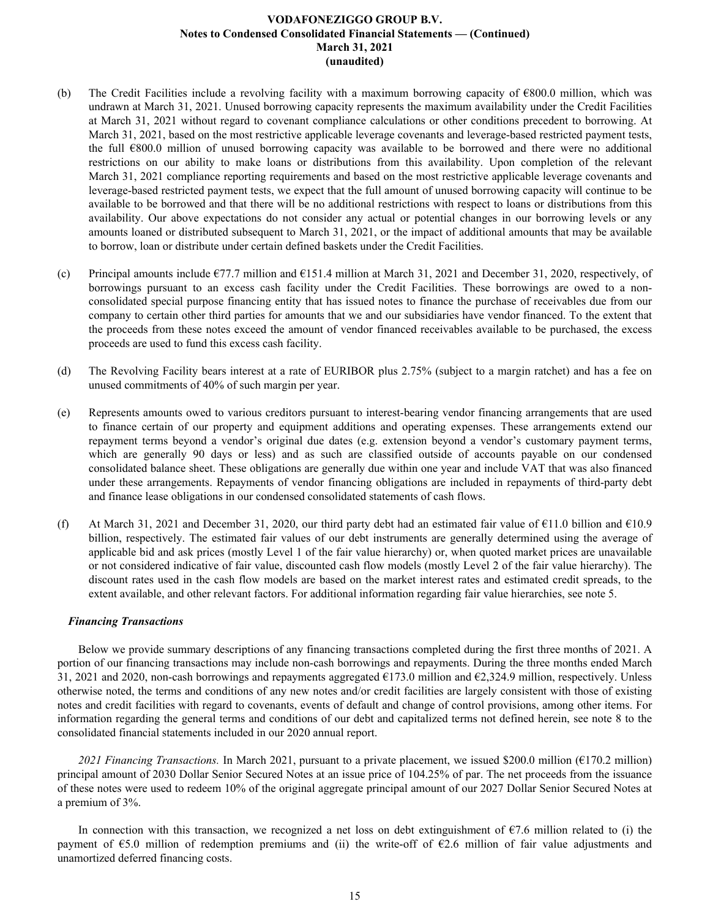- (b) The Credit Facilities include a revolving facility with a maximum borrowing capacity of €800.0 million, which was undrawn at March 31, 2021. Unused borrowing capacity represents the maximum availability under the Credit Facilities at March 31, 2021 without regard to covenant compliance calculations or other conditions precedent to borrowing. At March 31, 2021, based on the most restrictive applicable leverage covenants and leverage-based restricted payment tests, the full €800.0 million of unused borrowing capacity was available to be borrowed and there were no additional restrictions on our ability to make loans or distributions from this availability. Upon completion of the relevant March 31, 2021 compliance reporting requirements and based on the most restrictive applicable leverage covenants and leverage-based restricted payment tests, we expect that the full amount of unused borrowing capacity will continue to be available to be borrowed and that there will be no additional restrictions with respect to loans or distributions from this availability. Our above expectations do not consider any actual or potential changes in our borrowing levels or any amounts loaned or distributed subsequent to March 31, 2021, or the impact of additional amounts that may be available to borrow, loan or distribute under certain defined baskets under the Credit Facilities.
- (c) Principal amounts include  $\epsilon$ 77.7 million and  $\epsilon$ 151.4 million at March 31, 2021 and December 31, 2020, respectively, of borrowings pursuant to an excess cash facility under the Credit Facilities. These borrowings are owed to a nonconsolidated special purpose financing entity that has issued notes to finance the purchase of receivables due from our company to certain other third parties for amounts that we and our subsidiaries have vendor financed. To the extent that the proceeds from these notes exceed the amount of vendor financed receivables available to be purchased, the excess proceeds are used to fund this excess cash facility.
- (d) The Revolving Facility bears interest at a rate of EURIBOR plus 2.75% (subject to a margin ratchet) and has a fee on unused commitments of 40% of such margin per year.
- (e) Represents amounts owed to various creditors pursuant to interest-bearing vendor financing arrangements that are used to finance certain of our property and equipment additions and operating expenses. These arrangements extend our repayment terms beyond a vendor's original due dates (e.g. extension beyond a vendor's customary payment terms, which are generally 90 days or less) and as such are classified outside of accounts payable on our condensed consolidated balance sheet. These obligations are generally due within one year and include VAT that was also financed under these arrangements. Repayments of vendor financing obligations are included in repayments of third-party debt and finance lease obligations in our condensed consolidated statements of cash flows.
- (f) At March 31, 2021 and December 31, 2020, our third party debt had an estimated fair value of  $\text{\textsterling}11.0$  billion and  $\text{\textsterling}10.9$ billion, respectively. The estimated fair values of our debt instruments are generally determined using the average of applicable bid and ask prices (mostly Level 1 of the fair value hierarchy) or, when quoted market prices are unavailable or not considered indicative of fair value, discounted cash flow models (mostly Level 2 of the fair value hierarchy). The discount rates used in the cash flow models are based on the market interest rates and estimated credit spreads, to the extent available, and other relevant factors. For additional information regarding fair value hierarchies, see note 5.

### *Financing Transactions*

Below we provide summary descriptions of any financing transactions completed during the first three months of 2021. A portion of our financing transactions may include non-cash borrowings and repayments. During the three months ended March 31, 2021 and 2020, non-cash borrowings and repayments aggregated  $\epsilon$ 173.0 million and  $\epsilon$ 2,324.9 million, respectively. Unless otherwise noted, the terms and conditions of any new notes and/or credit facilities are largely consistent with those of existing notes and credit facilities with regard to covenants, events of default and change of control provisions, among other items. For information regarding the general terms and conditions of our debt and capitalized terms not defined herein, see note 8 to the consolidated financial statements included in our 2020 annual report.

*2021 Financing Transactions.* In March 2021, pursuant to a private placement, we issued \$200.0 million (€170.2 million) principal amount of 2030 Dollar Senior Secured Notes at an issue price of 104.25% of par. The net proceeds from the issuance of these notes were used to redeem 10% of the original aggregate principal amount of our 2027 Dollar Senior Secured Notes at a premium of 3%.

In connection with this transaction, we recognized a net loss on debt extinguishment of  $\epsilon$ 7.6 million related to (i) the payment of  $\epsilon$ 5.0 million of redemption premiums and (ii) the write-off of  $\epsilon$ 2.6 million of fair value adjustments and unamortized deferred financing costs.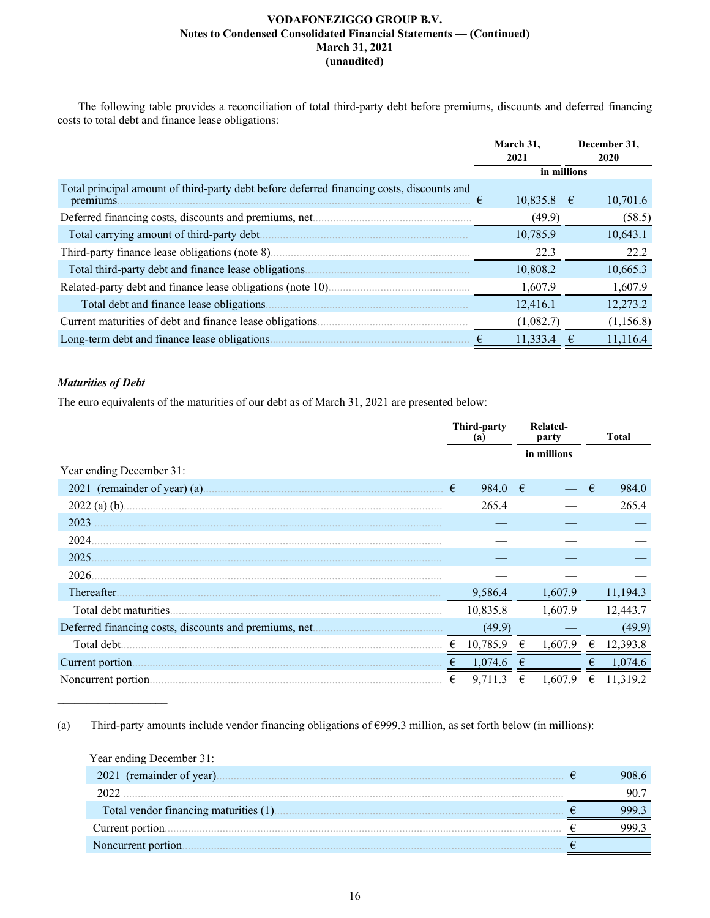The following table provides a reconciliation of total third-party debt before premiums, discounts and deferred financing costs to total debt and finance lease obligations:

|                                                                                                        |   | March 31,<br>2021 |   | December 31,<br><b>2020</b> |
|--------------------------------------------------------------------------------------------------------|---|-------------------|---|-----------------------------|
|                                                                                                        |   | in millions       |   |                             |
| Total principal amount of third-party debt before deferred financing costs, discounts and<br>premiums. | € | $10,835.8$ €      |   | 10,701.6                    |
|                                                                                                        |   | (49.9)            |   | (58.5)                      |
|                                                                                                        |   | 10,785.9          |   | 10,643.1                    |
|                                                                                                        |   | 22.3              |   | 22.2                        |
| Total third-party debt and finance lease obligations.                                                  |   | 10,808.2          |   | 10,665.3                    |
|                                                                                                        |   | 1,607.9           |   | 1,607.9                     |
| Total debt and finance lease obligations                                                               |   | 12,416.1          |   | 12,273.2                    |
| Current maturities of debt and finance lease obligations.                                              |   | (1,082.7)         |   | (1,156.8)                   |
| Long-term debt and finance lease obligations.                                                          |   | 11,333.4          | € | 11,116.4                    |

# *Maturities of Debt*

 $\mathcal{L}_\text{max}$  , where  $\mathcal{L}_\text{max}$  and  $\mathcal{L}_\text{max}$ 

The euro equivalents of the maturities of our debt as of March 31, 2021 are presented below:

|                                                       |   | Third-party<br>(a) |   | Related-<br>party |   | <b>Total</b> |
|-------------------------------------------------------|---|--------------------|---|-------------------|---|--------------|
|                                                       |   |                    |   | in millions       |   |              |
| Year ending December 31:                              |   |                    |   |                   |   |              |
| 2021 (remainder of year) (a).                         | € | 984.0              | € |                   | € | 984.0        |
| $2022$ (a) (b).                                       |   | 265.4              |   |                   |   | 265.4        |
| 2023                                                  |   |                    |   |                   |   |              |
| 2024                                                  |   |                    |   |                   |   |              |
| 2025                                                  |   |                    |   |                   |   |              |
| 2026.                                                 |   |                    |   |                   |   |              |
| Thereafter.                                           |   | 9,586.4            |   | 1,607.9           |   | 11,194.3     |
| Total debt maturities.                                |   | 10,835.8           |   | 1,607.9           |   | 12,443.7     |
| Deferred financing costs, discounts and premiums, net |   | (49.9)             |   |                   |   | (49.9)       |
| Total debt.                                           |   | 10,785.9           |   | 1,607.9           | € | 12,393.8     |
| Current portion                                       | € | 1,074.6            | € |                   | € | 1,074.6      |
|                                                       | € | 9,711.3            | € | 1.607.9           | € | 11,319.2     |

(a)Third-party amounts include vendor financing obligations of €999.3 million, as set forth below (in millions):

| Year ending December 31: |  |
|--------------------------|--|
|                          |  |
|                          |  |
|                          |  |
|                          |  |
| Noncurrent portion.      |  |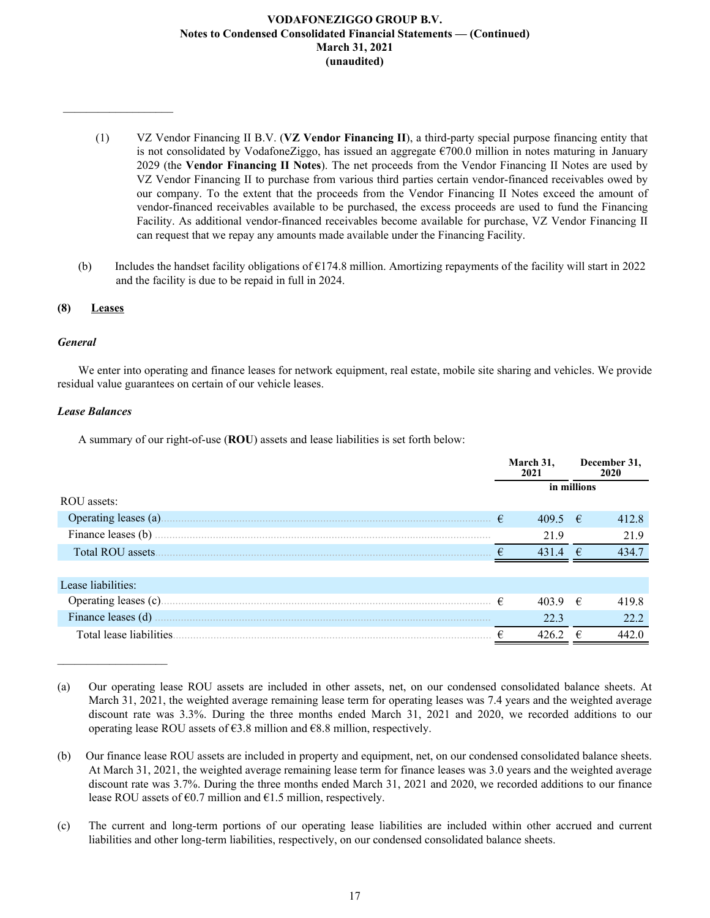- (1) VZ Vendor Financing II B.V. (**VZ Vendor Financing II**), a third-party special purpose financing entity that is not consolidated by VodafoneZiggo, has issued an aggregate  $\epsilon$ 700.0 million in notes maturing in January 2029 (the **Vendor Financing II Notes**). The net proceeds from the Vendor Financing II Notes are used by VZ Vendor Financing II to purchase from various third parties certain vendor-financed receivables owed by our company. To the extent that the proceeds from the Vendor Financing II Notes exceed the amount of vendor-financed receivables available to be purchased, the excess proceeds are used to fund the Financing Facility. As additional vendor-financed receivables become available for purchase, VZ Vendor Financing II can request that we repay any amounts made available under the Financing Facility.
- (b) Includes the handset facility obligations of  $\epsilon$ 174.8 million. Amortizing repayments of the facility will start in 2022 and the facility is due to be repaid in full in 2024.

# **(8) Leases**

 $\frac{1}{2}$  ,  $\frac{1}{2}$  ,  $\frac{1}{2}$  ,  $\frac{1}{2}$  ,  $\frac{1}{2}$  ,  $\frac{1}{2}$  ,  $\frac{1}{2}$  ,  $\frac{1}{2}$  ,  $\frac{1}{2}$  ,  $\frac{1}{2}$  ,  $\frac{1}{2}$ 

# *General*

We enter into operating and finance leases for network equipment, real estate, mobile site sharing and vehicles. We provide residual value guarantees on certain of our vehicle leases.

# *Lease Balances*

 $\mathcal{L}_\text{max}$  , where  $\mathcal{L}_\text{max}$  and  $\mathcal{L}_\text{max}$ 

A summary of our right-of-use (**ROU**) assets and lease liabilities is set forth below:

|                          |            | March 31,<br>2021 |   | December 31,<br>2020 |
|--------------------------|------------|-------------------|---|----------------------|
|                          |            | in millions       |   |                      |
| ROU assets:              |            |                   |   |                      |
| Operating leases (a).    | $\epsilon$ | $409.5 \t∈$       |   | 412.8                |
| Finance leases (b)       |            | 21.9              |   | 21.9                 |
| Total ROU assets.        |            | 431               | € | 434.7                |
|                          |            |                   |   |                      |
| Lease liabilities:       |            |                   |   |                      |
| Operating leases (c)     | $\epsilon$ | $403.9$ €         |   | 419.8                |
| Finance leases (d)       |            | 22.3              |   | 22.2                 |
| Total lease liabilities. |            | 426.2             | € | 442.0                |

<sup>(</sup>a) Our operating lease ROU assets are included in other assets, net, on our condensed consolidated balance sheets. At March 31, 2021, the weighted average remaining lease term for operating leases was 7.4 years and the weighted average discount rate was 3.3%. During the three months ended March 31, 2021 and 2020, we recorded additions to our operating lease ROU assets of  $\epsilon$ 3.8 million and  $\epsilon$ 8.8 million, respectively.

(c) The current and long-term portions of our operating lease liabilities are included within other accrued and current liabilities and other long-term liabilities, respectively, on our condensed consolidated balance sheets.

<sup>(</sup>b) Our finance lease ROU assets are included in property and equipment, net, on our condensed consolidated balance sheets. At March 31, 2021, the weighted average remaining lease term for finance leases was 3.0 years and the weighted average discount rate was 3.7%. During the three months ended March 31, 2021 and 2020, we recorded additions to our finance lease ROU assets of  $\epsilon$ 0.7 million and  $\epsilon$ 1.5 million, respectively.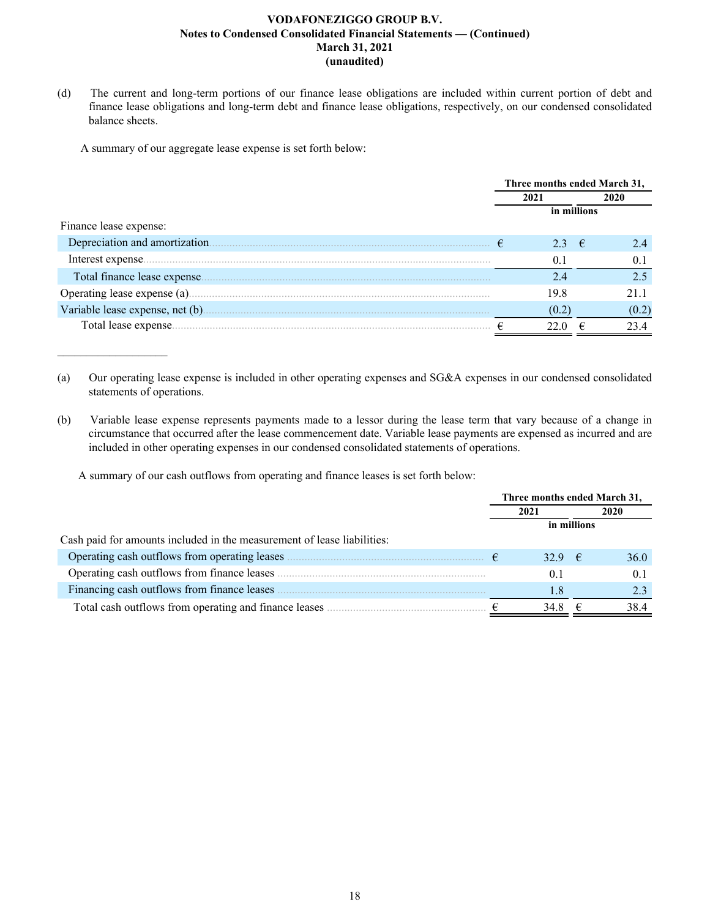(d) The current and long-term portions of our finance lease obligations are included within current portion of debt and finance lease obligations and long-term debt and finance lease obligations, respectively, on our condensed consolidated balance sheets.

A summary of our aggregate lease expense is set forth below:

 $\mathcal{L}_\text{max}$  , where  $\mathcal{L}_\text{max}$  and  $\mathcal{L}_\text{max}$ 

|                                 | Three months ended March 31, |             |  |       |
|---------------------------------|------------------------------|-------------|--|-------|
|                                 | 2021                         |             |  | 2020  |
|                                 |                              | in millions |  |       |
| Finance lease expense:          |                              |             |  |       |
| Depreciation and amortization.  | €                            | 23 €        |  | 24    |
| Interest expense                |                              | $0^{\circ}$ |  |       |
| Total finance lease expense.    |                              | 24          |  |       |
|                                 |                              | 19.8        |  | 21 1  |
| Variable lease expense, net (b) |                              | (0.2)       |  | (0.2) |
| Total lease expense.            |                              |             |  |       |

(a) Our operating lease expense is included in other operating expenses and SG&A expenses in our condensed consolidated statements of operations.

(b) Variable lease expense represents payments made to a lessor during the lease term that vary because of a change in circumstance that occurred after the lease commencement date. Variable lease payments are expensed as incurred and are included in other operating expenses in our condensed consolidated statements of operations.

A summary of our cash outflows from operating and finance leases is set forth below:

|                                                                         | Three months ended March 31, |             |   |      |
|-------------------------------------------------------------------------|------------------------------|-------------|---|------|
|                                                                         |                              | 2021        |   | 2020 |
|                                                                         |                              | in millions |   |      |
| Cash paid for amounts included in the measurement of lease liabilities: |                              |             |   |      |
| Operating cash outflows from operating leases                           |                              | 32.9 $\in$  |   | 36.0 |
| Operating cash outflows from finance leases                             |                              | 0.1         |   | 0.1  |
| Financing cash outflows from finance leases                             |                              | 1.8         |   |      |
| Total cash outflows from operating and finance leases                   |                              | 34.8        | € | 38.4 |
|                                                                         |                              |             |   |      |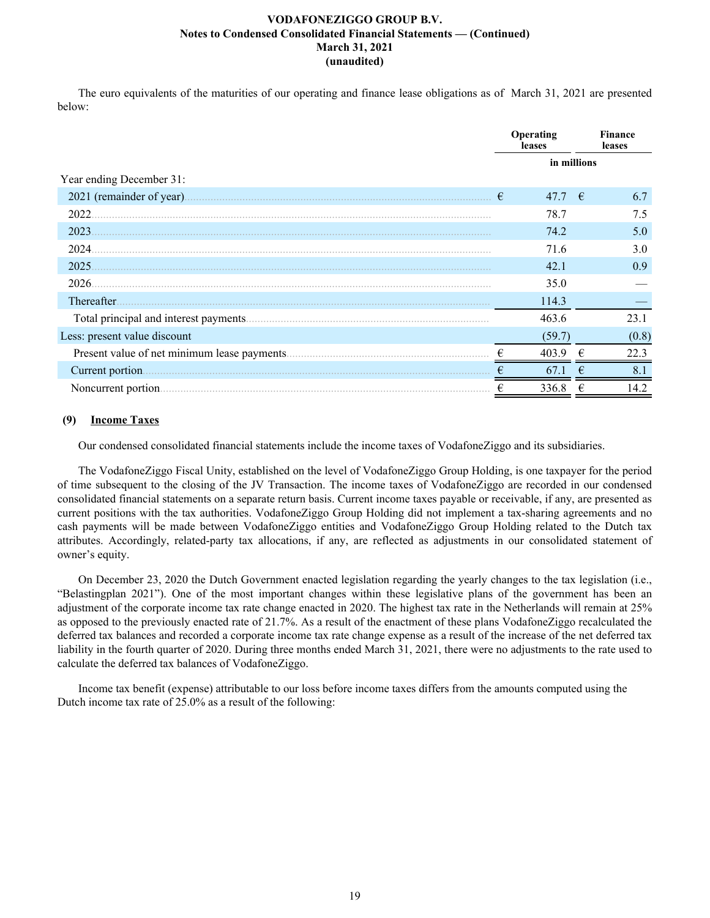The euro equivalents of the maturities of our operating and finance lease obligations as of March 31, 2021 are presented below:

|                              | Operating<br>leases |                 |  | <b>Finance</b><br>leases |
|------------------------------|---------------------|-----------------|--|--------------------------|
|                              | in millions         |                 |  |                          |
| Year ending December 31:     |                     |                 |  |                          |
| 2021 (remainder of year).    | €                   | 47.7 $\epsilon$ |  | 6.7                      |
| 2022                         |                     | 78.7            |  | 7.5                      |
| 2023                         |                     | 74.2            |  | 5.0                      |
| 2024.                        |                     | 71.6            |  | 3.0                      |
| 2025                         |                     | 42.1            |  | 0.9                      |
| 2026.                        |                     | 35.0            |  |                          |
| Thereafter.                  |                     | 114.3           |  |                          |
|                              |                     | 463.6           |  | 23.1                     |
| Less: present value discount |                     | (59.7)          |  | (0.8)                    |
|                              | €                   | 403.9           |  | 22.3                     |
| Current portion.             |                     | 67.1            |  | 8.1                      |
| Noncurrent portion.          |                     | 336.8           |  | 14.2                     |

# **(9) Income Taxes**

Our condensed consolidated financial statements include the income taxes of VodafoneZiggo and its subsidiaries.

The VodafoneZiggo Fiscal Unity, established on the level of VodafoneZiggo Group Holding, is one taxpayer for the period of time subsequent to the closing of the JV Transaction. The income taxes of VodafoneZiggo are recorded in our condensed consolidated financial statements on a separate return basis. Current income taxes payable or receivable, if any, are presented as current positions with the tax authorities. VodafoneZiggo Group Holding did not implement a tax-sharing agreements and no cash payments will be made between VodafoneZiggo entities and VodafoneZiggo Group Holding related to the Dutch tax attributes. Accordingly, related-party tax allocations, if any, are reflected as adjustments in our consolidated statement of owner's equity.

On December 23, 2020 the Dutch Government enacted legislation regarding the yearly changes to the tax legislation (i.e., "Belastingplan 2021"). One of the most important changes within these legislative plans of the government has been an adjustment of the corporate income tax rate change enacted in 2020. The highest tax rate in the Netherlands will remain at 25% as opposed to the previously enacted rate of 21.7%. As a result of the enactment of these plans VodafoneZiggo recalculated the deferred tax balances and recorded a corporate income tax rate change expense as a result of the increase of the net deferred tax liability in the fourth quarter of 2020. During three months ended March 31, 2021, there were no adjustments to the rate used to calculate the deferred tax balances of VodafoneZiggo.

Income tax benefit (expense) attributable to our loss before income taxes differs from the amounts computed using the Dutch income tax rate of 25.0% as a result of the following: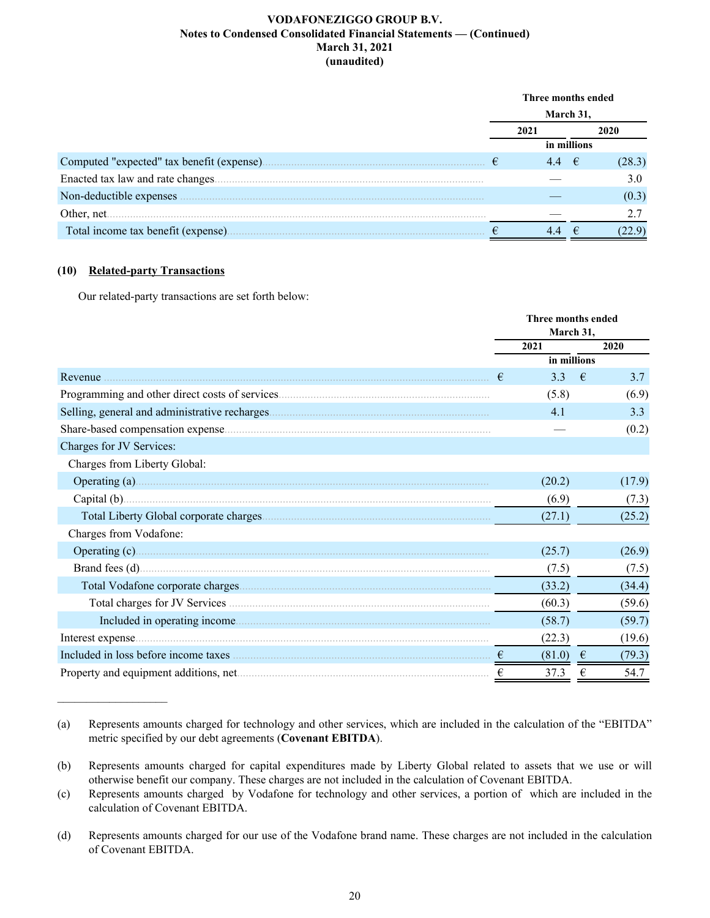|                                            | Three months ended |             |    |       |  |
|--------------------------------------------|--------------------|-------------|----|-------|--|
|                                            | March 31,          |             |    |       |  |
|                                            | 2021               |             |    | 2020  |  |
|                                            |                    | in millions |    |       |  |
| Computed "expected" tax benefit (expense). | €                  |             | −€ |       |  |
| Enacted tax law and rate changes.          |                    |             |    | 3.0   |  |
| Non-deductible expenses                    |                    |             |    | (0.3) |  |
| Other, net                                 |                    |             |    |       |  |
| Total income tax benefit (expense).        |                    |             |    |       |  |

**Three months ended**

# **(10) Related-party Transactions**

Our related-party transactions are set forth below:

|                              |   | т нгее пюнию списи<br>March 31, |            |        |  |
|------------------------------|---|---------------------------------|------------|--------|--|
|                              |   | 2021                            |            | 2020   |  |
|                              |   | in millions                     |            |        |  |
| Revenue                      | € | 3.3                             | €          | 3.7    |  |
|                              |   | (5.8)                           |            | (6.9)  |  |
|                              |   | 4.1                             |            | 3.3    |  |
|                              |   |                                 |            | (0.2)  |  |
| Charges for JV Services:     |   |                                 |            |        |  |
| Charges from Liberty Global: |   |                                 |            |        |  |
|                              |   | (20.2)                          |            | (17.9) |  |
|                              |   | (6.9)                           |            | (7.3)  |  |
|                              |   | (27.1)                          |            | (25.2) |  |
| Charges from Vodafone:       |   |                                 |            |        |  |
|                              |   | (25.7)                          |            | (26.9) |  |
|                              |   | (7.5)                           |            | (7.5)  |  |
|                              |   | (33.2)                          |            | (34.4) |  |
|                              |   | (60.3)                          |            | (59.6) |  |
|                              |   | (58.7)                          |            | (59.7) |  |
|                              |   | (22.3)                          |            | (19.6) |  |
|                              |   | (81.0)                          | $\epsilon$ | (79.3) |  |
|                              | € | 37.3                            | €          | 54.7   |  |

<sup>(</sup>a) Represents amounts charged for technology and other services, which are included in the calculation of the "EBITDA" metric specified by our debt agreements (**Covenant EBITDA**).

<sup>(</sup>b) Represents amounts charged for capital expenditures made by Liberty Global related to assets that we use or will otherwise benefit our company. These charges are not included in the calculation of Covenant EBITDA.

<sup>(</sup>c) Represents amounts charged by Vodafone for technology and other services, a portion of which are included in the calculation of Covenant EBITDA.

<sup>(</sup>d) Represents amounts charged for our use of the Vodafone brand name. These charges are not included in the calculation of Covenant EBITDA.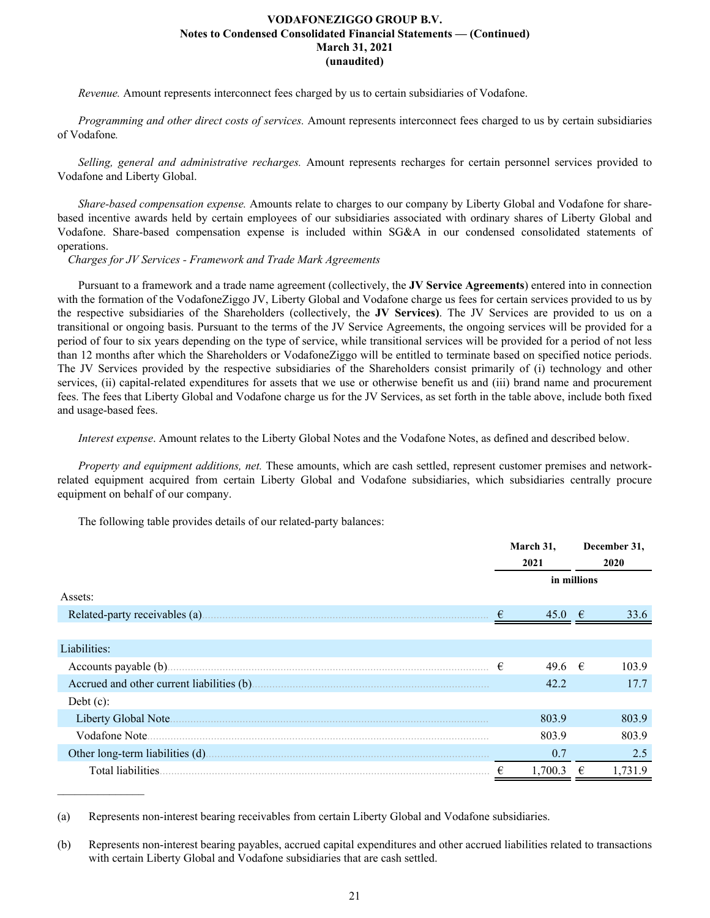*Revenue.* Amount represents interconnect fees charged by us to certain subsidiaries of Vodafone.

*Programming and other direct costs of services.* Amount represents interconnect fees charged to us by certain subsidiaries of Vodafone*.*

*Selling, general and administrative recharges.* Amount represents recharges for certain personnel services provided to Vodafone and Liberty Global.

*Share-based compensation expense.* Amounts relate to charges to our company by Liberty Global and Vodafone for sharebased incentive awards held by certain employees of our subsidiaries associated with ordinary shares of Liberty Global and Vodafone. Share-based compensation expense is included within SG&A in our condensed consolidated statements of operations.

*Charges for JV Services - Framework and Trade Mark Agreements*

Pursuant to a framework and a trade name agreement (collectively, the **JV Service Agreements**) entered into in connection with the formation of the VodafoneZiggo JV, Liberty Global and Vodafone charge us fees for certain services provided to us by the respective subsidiaries of the Shareholders (collectively, the **JV Services)**. The JV Services are provided to us on a transitional or ongoing basis. Pursuant to the terms of the JV Service Agreements, the ongoing services will be provided for a period of four to six years depending on the type of service, while transitional services will be provided for a period of not less than 12 months after which the Shareholders or VodafoneZiggo will be entitled to terminate based on specified notice periods. The JV Services provided by the respective subsidiaries of the Shareholders consist primarily of (i) technology and other services, (ii) capital-related expenditures for assets that we use or otherwise benefit us and (iii) brand name and procurement fees. The fees that Liberty Global and Vodafone charge us for the JV Services, as set forth in the table above, include both fixed and usage-based fees.

*Interest expense*. Amount relates to the Liberty Global Notes and the Vodafone Notes, as defined and described below.

*Property and equipment additions, net.* These amounts, which are cash settled, represent customer premises and networkrelated equipment acquired from certain Liberty Global and Vodafone subsidiaries, which subsidiaries centrally procure equipment on behalf of our company.

The following table provides details of our related-party balances:

 $\mathcal{L}_\text{max}$  , where  $\mathcal{L}_\text{max}$ 

|                                |   | March 31,<br>2021 |            | December 31,<br>2020 |  |
|--------------------------------|---|-------------------|------------|----------------------|--|
|                                |   | in millions       |            |                      |  |
| Assets:                        |   |                   |            |                      |  |
| Related-party receivables (a). |   | 45.0              | $\epsilon$ | 33.6                 |  |
|                                |   |                   |            |                      |  |
| Liabilities:                   |   |                   |            |                      |  |
|                                | € | 49.6 $\in$        |            | 103.9                |  |
|                                |   | 42.2              |            | 17.7                 |  |
| Debt $(c)$ :                   |   |                   |            |                      |  |
| Liberty Global Note.           |   | 803.9             |            | 803.9                |  |
| Vodafone Note                  |   | 803.9             |            | 803.9                |  |
|                                |   | 0.7               |            | 2.5                  |  |
|                                | € | 1.700.3           | €          | 1.731.9              |  |

<sup>(</sup>a) Represents non-interest bearing receivables from certain Liberty Global and Vodafone subsidiaries.

<sup>(</sup>b) Represents non-interest bearing payables, accrued capital expenditures and other accrued liabilities related to transactions with certain Liberty Global and Vodafone subsidiaries that are cash settled.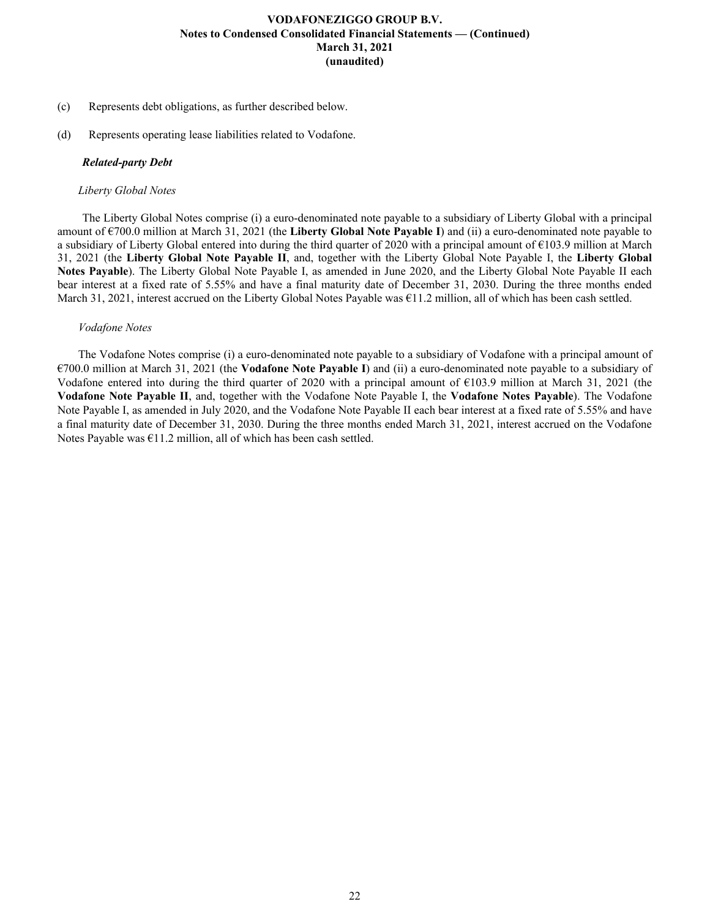- (c) Represents debt obligations, as further described below.
- (d) Represents operating lease liabilities related to Vodafone.

# *Related-party Debt*

# *Liberty Global Notes*

 The Liberty Global Notes comprise (i) a euro-denominated note payable to a subsidiary of Liberty Global with a principal amount of €700.0 million at March 31, 2021 (the **Liberty Global Note Payable I**) and (ii) a euro-denominated note payable to a subsidiary of Liberty Global entered into during the third quarter of 2020 with a principal amount of  $\epsilon$ 103.9 million at March 31, 2021 (the **Liberty Global Note Payable II**, and, together with the Liberty Global Note Payable I, the **Liberty Global Notes Payable**). The Liberty Global Note Payable I, as amended in June 2020, and the Liberty Global Note Payable II each bear interest at a fixed rate of 5.55% and have a final maturity date of December 31, 2030. During the three months ended March 31, 2021, interest accrued on the Liberty Global Notes Payable was €11.2 million, all of which has been cash settled.

# *Vodafone Notes*

The Vodafone Notes comprise (i) a euro-denominated note payable to a subsidiary of Vodafone with a principal amount of €700.0 million at March 31, 2021 (the **Vodafone Note Payable I**) and (ii) a euro-denominated note payable to a subsidiary of Vodafone entered into during the third quarter of 2020 with a principal amount of €103.9 million at March 31, 2021 (the **Vodafone Note Payable II**, and, together with the Vodafone Note Payable I, the **Vodafone Notes Payable**). The Vodafone Note Payable I, as amended in July 2020, and the Vodafone Note Payable II each bear interest at a fixed rate of 5.55% and have a final maturity date of December 31, 2030. During the three months ended March 31, 2021, interest accrued on the Vodafone Notes Payable was  $\epsilon$ 11.2 million, all of which has been cash settled.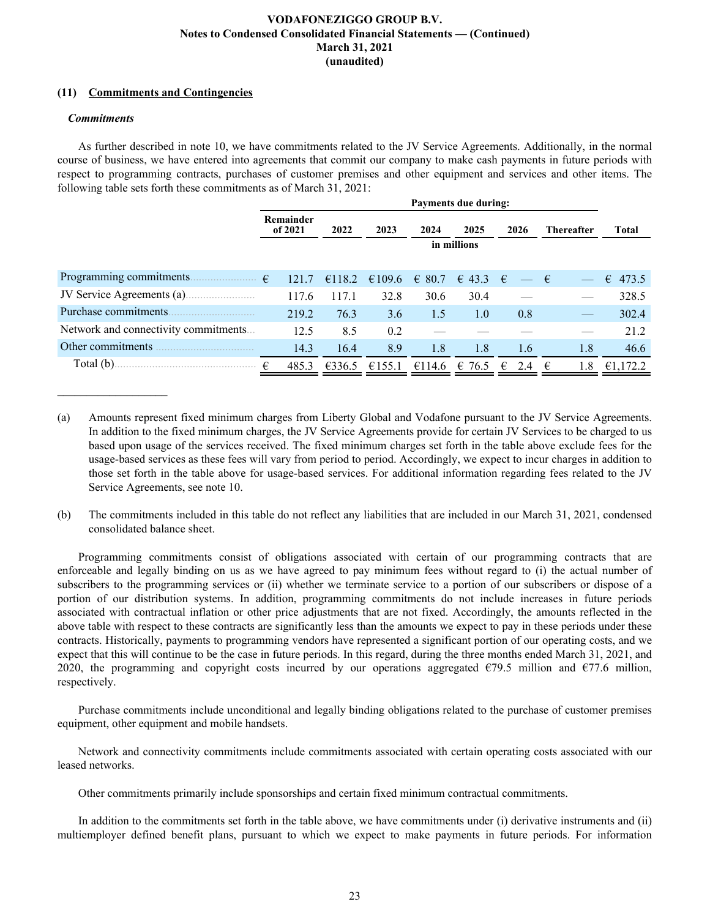# **(11) Commitments and Contingencies**

### *Commitments*

 $\mathcal{L}_\text{max}$  , where  $\mathcal{L}_\text{max}$  and  $\mathcal{L}_\text{max}$ 

As further described in note 10, we have commitments related to the JV Service Agreements. Additionally, in the normal course of business, we have entered into agreements that commit our company to make cash payments in future periods with respect to programming contracts, purchases of customer premises and other equipment and services and other items. The following table sets forth these commitments as of March 31, 2021:

|                                      | <b>Payments due during:</b> |             |        |                 |                    |             |                   |            |  |  |  |  |
|--------------------------------------|-----------------------------|-------------|--------|-----------------|--------------------|-------------|-------------------|------------|--|--|--|--|
|                                      | Remainder<br>of 2021        | 2022        | 2023   | 2024            | 2025               | 2026        | <b>Thereafter</b> | Total      |  |  |  |  |
|                                      |                             | in millions |        |                 |                    |             |                   |            |  |  |  |  |
| Programming commitments.             | €<br>121.7                  | €118.2      | €109.6 | $\epsilon$ 80.7 |                    | $\epsilon$  |                   | €<br>473.5 |  |  |  |  |
| JV Service Agreements (a)            | 117.6                       | 117.1       | 32.8   | 30.6            | $\in$ 43.3<br>30.4 | $ \epsilon$ |                   | 328.5      |  |  |  |  |
| Purchase commitments.                | 219.2                       | 76.3        | 3.6    | 1.5             | 1.0                | 0.8         |                   | 302.4      |  |  |  |  |
| Network and connectivity commitments | 12.5                        | 8.5         | 0.2    |                 |                    |             |                   | 21.2       |  |  |  |  |
| Other commitments                    | 14.3                        | 16.4        | 8.9    | 1.8             | 1.8                | 1.6         | 1.8               | 46.6       |  |  |  |  |
| Total (b).                           | 485.3<br>€                  | €336.5      | €155.1 | €114.6          | 76.5<br>€          | €<br>2.4    | €<br>1.8          | €1,172.2   |  |  |  |  |

- (a) Amounts represent fixed minimum charges from Liberty Global and Vodafone pursuant to the JV Service Agreements. In addition to the fixed minimum charges, the JV Service Agreements provide for certain JV Services to be charged to us based upon usage of the services received. The fixed minimum charges set forth in the table above exclude fees for the usage-based services as these fees will vary from period to period. Accordingly, we expect to incur charges in addition to those set forth in the table above for usage-based services. For additional information regarding fees related to the JV Service Agreements, see note 10.
- (b) The commitments included in this table do not reflect any liabilities that are included in our March 31, 2021, condensed consolidated balance sheet.

Programming commitments consist of obligations associated with certain of our programming contracts that are enforceable and legally binding on us as we have agreed to pay minimum fees without regard to (i) the actual number of subscribers to the programming services or (ii) whether we terminate service to a portion of our subscribers or dispose of a portion of our distribution systems. In addition, programming commitments do not include increases in future periods associated with contractual inflation or other price adjustments that are not fixed. Accordingly, the amounts reflected in the above table with respect to these contracts are significantly less than the amounts we expect to pay in these periods under these contracts. Historically, payments to programming vendors have represented a significant portion of our operating costs, and we expect that this will continue to be the case in future periods. In this regard, during the three months ended March 31, 2021, and 2020, the programming and copyright costs incurred by our operations aggregated  $\epsilon$ 79.5 million and  $\epsilon$ 77.6 million, respectively.

Purchase commitments include unconditional and legally binding obligations related to the purchase of customer premises equipment, other equipment and mobile handsets.

Network and connectivity commitments include commitments associated with certain operating costs associated with our leased networks.

Other commitments primarily include sponsorships and certain fixed minimum contractual commitments.

In addition to the commitments set forth in the table above, we have commitments under (i) derivative instruments and (ii) multiemployer defined benefit plans, pursuant to which we expect to make payments in future periods. For information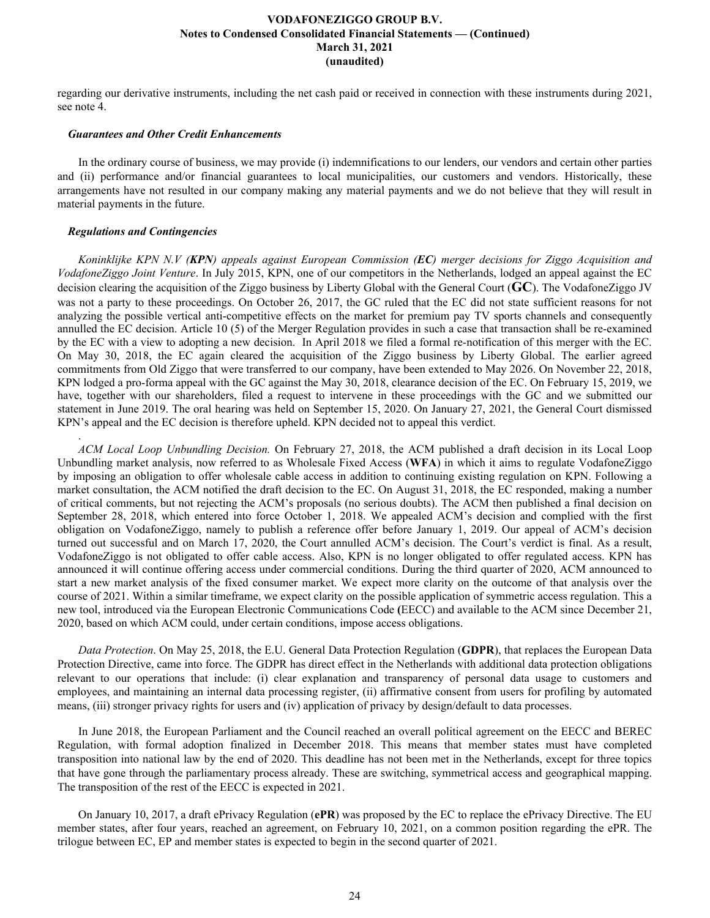regarding our derivative instruments, including the net cash paid or received in connection with these instruments during 2021, see note 4.

### *Guarantees and Other Credit Enhancements*

In the ordinary course of business, we may provide (i) indemnifications to our lenders, our vendors and certain other parties and (ii) performance and/or financial guarantees to local municipalities, our customers and vendors. Historically, these arrangements have not resulted in our company making any material payments and we do not believe that they will result in material payments in the future.

### *Regulations and Contingencies*

.

*Koninklijke KPN N.V (KPN) appeals against European Commission (EC) merger decisions for Ziggo Acquisition and VodafoneZiggo Joint Venture*. In July 2015, KPN, one of our competitors in the Netherlands, lodged an appeal against the EC decision clearing the acquisition of the Ziggo business by Liberty Global with the General Court (**GC**). The VodafoneZiggo JV was not a party to these proceedings. On October 26, 2017, the GC ruled that the EC did not state sufficient reasons for not analyzing the possible vertical anti-competitive effects on the market for premium pay TV sports channels and consequently annulled the EC decision. Article 10 (5) of the Merger Regulation provides in such a case that transaction shall be re-examined by the EC with a view to adopting a new decision. In April 2018 we filed a formal re-notification of this merger with the EC. On May 30, 2018, the EC again cleared the acquisition of the Ziggo business by Liberty Global. The earlier agreed commitments from Old Ziggo that were transferred to our company, have been extended to May 2026. On November 22, 2018, KPN lodged a pro-forma appeal with the GC against the May 30, 2018, clearance decision of the EC. On February 15, 2019, we have, together with our shareholders, filed a request to intervene in these proceedings with the GC and we submitted our statement in June 2019. The oral hearing was held on September 15, 2020. On January 27, 2021, the General Court dismissed KPN's appeal and the EC decision is therefore upheld. KPN decided not to appeal this verdict.

*ACM Local Loop Unbundling Decision.* On February 27, 2018, the ACM published a draft decision in its Local Loop Unbundling market analysis, now referred to as Wholesale Fixed Access (**WFA**) in which it aims to regulate VodafoneZiggo by imposing an obligation to offer wholesale cable access in addition to continuing existing regulation on KPN. Following a market consultation, the ACM notified the draft decision to the EC. On August 31, 2018, the EC responded, making a number of critical comments, but not rejecting the ACM's proposals (no serious doubts). The ACM then published a final decision on September 28, 2018, which entered into force October 1, 2018. We appealed ACM's decision and complied with the first obligation on VodafoneZiggo, namely to publish a reference offer before January 1, 2019. Our appeal of ACM's decision turned out successful and on March 17, 2020, the Court annulled ACM's decision. The Court's verdict is final. As a result, VodafoneZiggo is not obligated to offer cable access. Also, KPN is no longer obligated to offer regulated access. KPN has announced it will continue offering access under commercial conditions. During the third quarter of 2020, ACM announced to start a new market analysis of the fixed consumer market. We expect more clarity on the outcome of that analysis over the course of 2021. Within a similar timeframe, we expect clarity on the possible application of symmetric access regulation. This a new tool, introduced via the European Electronic Communications Code **(**EECC) and available to the ACM since December 21, 2020, based on which ACM could, under certain conditions, impose access obligations.

*Data Protection*. On May 25, 2018, the E.U. General Data Protection Regulation (**GDPR**), that replaces the European Data Protection Directive, came into force. The GDPR has direct effect in the Netherlands with additional data protection obligations relevant to our operations that include: (i) clear explanation and transparency of personal data usage to customers and employees, and maintaining an internal data processing register, (ii) affirmative consent from users for profiling by automated means, (iii) stronger privacy rights for users and (iv) application of privacy by design/default to data processes.

In June 2018, the European Parliament and the Council reached an overall political agreement on the EECC and BEREC Regulation, with formal adoption finalized in December 2018. This means that member states must have completed transposition into national law by the end of 2020. This deadline has not been met in the Netherlands, except for three topics that have gone through the parliamentary process already. These are switching, symmetrical access and geographical mapping. The transposition of the rest of the EECC is expected in 2021.

On January 10, 2017, a draft ePrivacy Regulation (**ePR**) was proposed by the EC to replace the ePrivacy Directive. The EU member states, after four years, reached an agreement, on February 10, 2021, on a common position regarding the ePR. The trilogue between EC, EP and member states is expected to begin in the second quarter of 2021.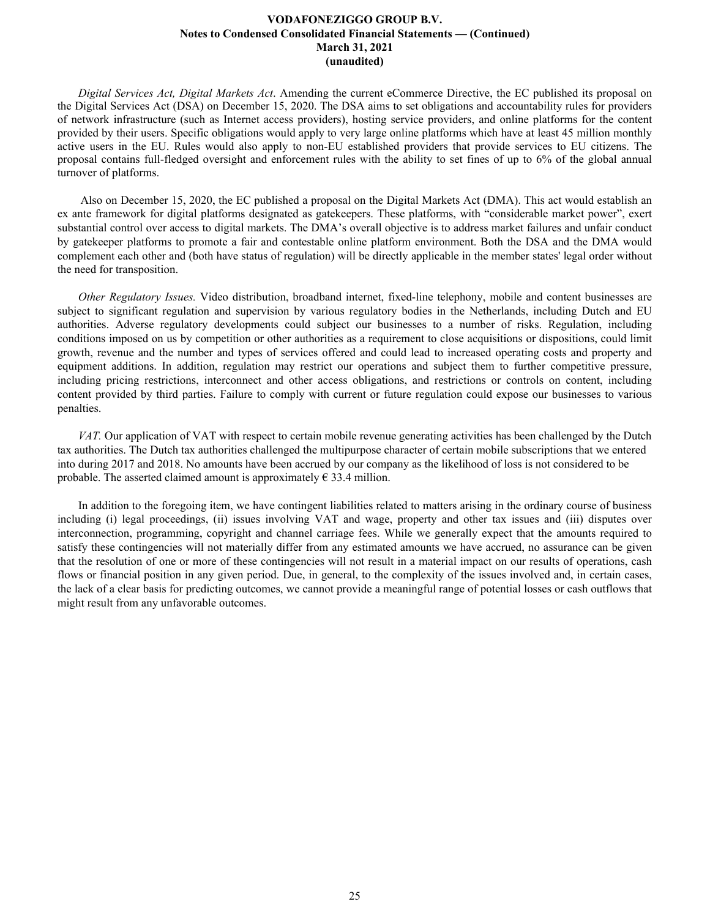*Digital Services Act, Digital Markets Act*. Amending the current eCommerce Directive, the EC published its proposal on the Digital Services Act (DSA) on December 15, 2020. The DSA aims to set obligations and accountability rules for providers of network infrastructure (such as Internet access providers), hosting service providers, and online platforms for the content provided by their users. Specific obligations would apply to very large online platforms which have at least 45 million monthly active users in the EU. Rules would also apply to non-EU established providers that provide services to EU citizens. The proposal contains full-fledged oversight and enforcement rules with the ability to set fines of up to 6% of the global annual turnover of platforms.

 Also on December 15, 2020, the EC published a proposal on the Digital Markets Act (DMA). This act would establish an ex ante framework for digital platforms designated as gatekeepers. These platforms, with "considerable market power", exert substantial control over access to digital markets. The DMA's overall objective is to address market failures and unfair conduct by gatekeeper platforms to promote a fair and contestable online platform environment. Both the DSA and the DMA would complement each other and (both have status of regulation) will be directly applicable in the member states' legal order without the need for transposition.

*Other Regulatory Issues.* Video distribution, broadband internet, fixed-line telephony, mobile and content businesses are subject to significant regulation and supervision by various regulatory bodies in the Netherlands, including Dutch and EU authorities. Adverse regulatory developments could subject our businesses to a number of risks. Regulation, including conditions imposed on us by competition or other authorities as a requirement to close acquisitions or dispositions, could limit growth, revenue and the number and types of services offered and could lead to increased operating costs and property and equipment additions. In addition, regulation may restrict our operations and subject them to further competitive pressure, including pricing restrictions, interconnect and other access obligations, and restrictions or controls on content, including content provided by third parties. Failure to comply with current or future regulation could expose our businesses to various penalties.

*VAT.* Our application of VAT with respect to certain mobile revenue generating activities has been challenged by the Dutch tax authorities. The Dutch tax authorities challenged the multipurpose character of certain mobile subscriptions that we entered into during 2017 and 2018. No amounts have been accrued by our company as the likelihood of loss is not considered to be probable. The asserted claimed amount is approximately  $\epsilon$  33.4 million.

In addition to the foregoing item, we have contingent liabilities related to matters arising in the ordinary course of business including (i) legal proceedings, (ii) issues involving VAT and wage, property and other tax issues and (iii) disputes over interconnection, programming, copyright and channel carriage fees. While we generally expect that the amounts required to satisfy these contingencies will not materially differ from any estimated amounts we have accrued, no assurance can be given that the resolution of one or more of these contingencies will not result in a material impact on our results of operations, cash flows or financial position in any given period. Due, in general, to the complexity of the issues involved and, in certain cases, the lack of a clear basis for predicting outcomes, we cannot provide a meaningful range of potential losses or cash outflows that might result from any unfavorable outcomes.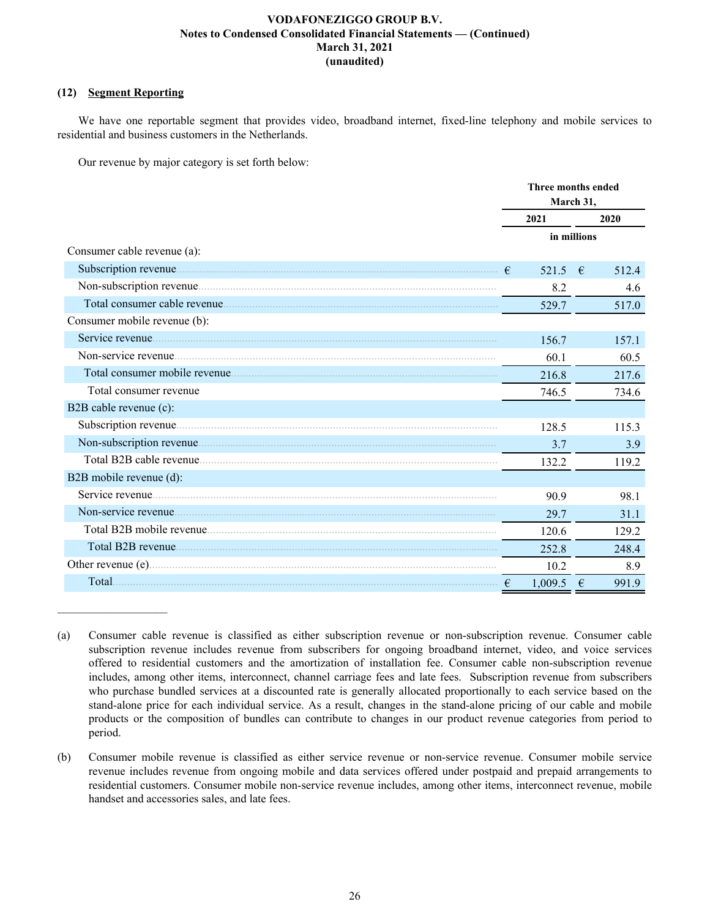# **(12) Segment Reporting**

 $\mathcal{L}_\text{max}$  , where  $\mathcal{L}_\text{max}$  and  $\mathcal{L}_\text{max}$ 

We have one reportable segment that provides video, broadband internet, fixed-line telephony and mobile services to residential and business customers in the Netherlands.

Our revenue by major category is set forth below:

|                              | Three months ended<br>March 31, |             |       |
|------------------------------|---------------------------------|-------------|-------|
|                              | 2021                            |             | 2020  |
|                              |                                 | in millions |       |
| Consumer cable revenue (a):  |                                 |             |       |
|                              | 521.5 $\in$<br>$\epsilon$       |             | 512.4 |
|                              | 8.2                             |             | 4.6   |
|                              | 529.7                           |             | 517.0 |
| Consumer mobile revenue (b): |                                 |             |       |
|                              | 156.7                           |             | 157.1 |
|                              | 60.1                            |             | 60.5  |
|                              | 216.8                           |             | 217.6 |
| Total consumer revenue       | 746.5                           |             | 734.6 |
| B2B cable revenue (c):       |                                 |             |       |
|                              | 128.5                           |             | 115.3 |
|                              | 3.7                             |             | 3.9   |
|                              | 132.2                           |             | 119.2 |
| B2B mobile revenue (d):      |                                 |             |       |
|                              | 90.9                            |             | 98.1  |
|                              | 29.7                            |             | 31.1  |
|                              | 120.6                           |             | 129.2 |
|                              | 252.8                           |             | 248.4 |
|                              | 10.2                            |             | 8.9   |
| Total.                       | 1,009.5                         | €           | 991.9 |

<sup>(</sup>a) Consumer cable revenue is classified as either subscription revenue or non-subscription revenue. Consumer cable subscription revenue includes revenue from subscribers for ongoing broadband internet, video, and voice services offered to residential customers and the amortization of installation fee. Consumer cable non-subscription revenue includes, among other items, interconnect, channel carriage fees and late fees. Subscription revenue from subscribers who purchase bundled services at a discounted rate is generally allocated proportionally to each service based on the stand-alone price for each individual service. As a result, changes in the stand-alone pricing of our cable and mobile products or the composition of bundles can contribute to changes in our product revenue categories from period to period.

<sup>(</sup>b) Consumer mobile revenue is classified as either service revenue or non-service revenue. Consumer mobile service revenue includes revenue from ongoing mobile and data services offered under postpaid and prepaid arrangements to residential customers. Consumer mobile non-service revenue includes, among other items, interconnect revenue, mobile handset and accessories sales, and late fees.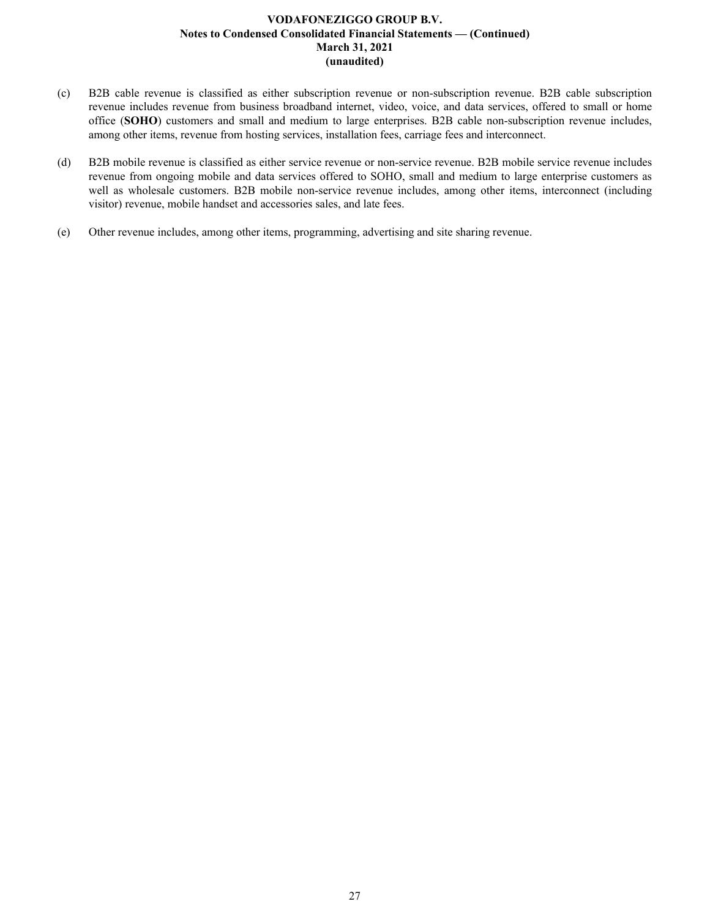- (c) B2B cable revenue is classified as either subscription revenue or non-subscription revenue. B2B cable subscription revenue includes revenue from business broadband internet, video, voice, and data services, offered to small or home office (**SOHO**) customers and small and medium to large enterprises. B2B cable non-subscription revenue includes, among other items, revenue from hosting services, installation fees, carriage fees and interconnect.
- (d) B2B mobile revenue is classified as either service revenue or non-service revenue. B2B mobile service revenue includes revenue from ongoing mobile and data services offered to SOHO, small and medium to large enterprise customers as well as wholesale customers. B2B mobile non-service revenue includes, among other items, interconnect (including visitor) revenue, mobile handset and accessories sales, and late fees.
- (e) Other revenue includes, among other items, programming, advertising and site sharing revenue.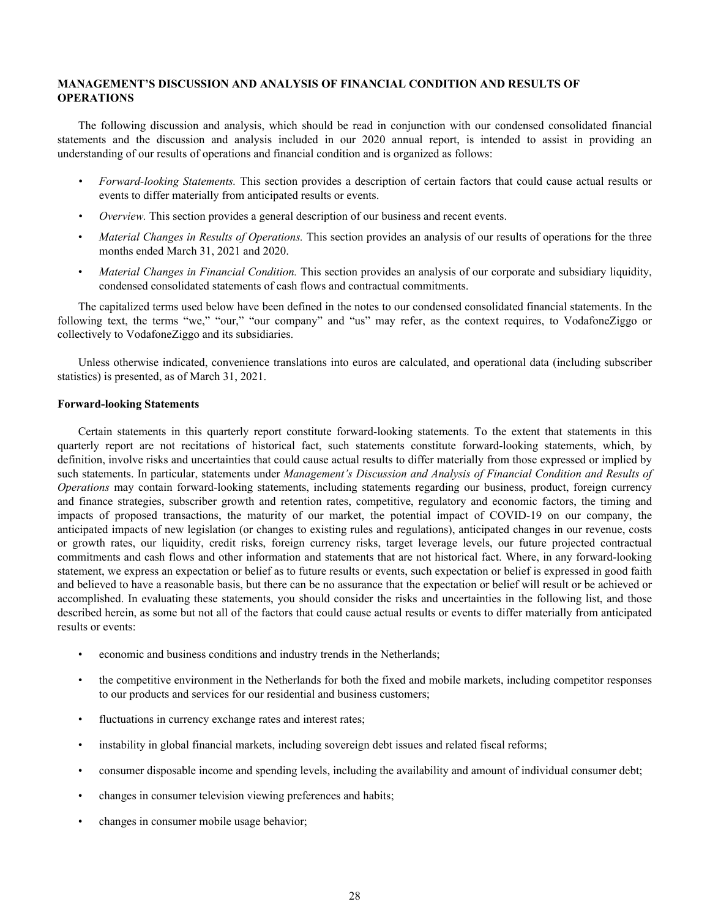# <span id="page-28-0"></span>**MANAGEMENT'S DISCUSSION AND ANALYSIS OF FINANCIAL CONDITION AND RESULTS OF OPERATIONS**

The following discussion and analysis, which should be read in conjunction with our condensed consolidated financial statements and the discussion and analysis included in our 2020 annual report, is intended to assist in providing an understanding of our results of operations and financial condition and is organized as follows:

- *• Forward-looking Statements.* This section provides a description of certain factors that could cause actual results or events to differ materially from anticipated results or events.
- *• Overview.* This section provides a general description of our business and recent events.
- *Material Changes in Results of Operations.* This section provides an analysis of our results of operations for the three months ended March 31, 2021 and 2020.
- *Material Changes in Financial Condition.* This section provides an analysis of our corporate and subsidiary liquidity, condensed consolidated statements of cash flows and contractual commitments.

The capitalized terms used below have been defined in the notes to our condensed consolidated financial statements. In the following text, the terms "we," "our," "our company" and "us" may refer, as the context requires, to VodafoneZiggo or collectively to VodafoneZiggo and its subsidiaries.

Unless otherwise indicated, convenience translations into euros are calculated, and operational data (including subscriber statistics) is presented, as of March 31, 2021.

### **Forward-looking Statements**

Certain statements in this quarterly report constitute forward-looking statements. To the extent that statements in this quarterly report are not recitations of historical fact, such statements constitute forward-looking statements, which, by definition, involve risks and uncertainties that could cause actual results to differ materially from those expressed or implied by such statements. In particular, statements under *Management's Discussion and Analysis of Financial Condition and Results of Operations* may contain forward-looking statements, including statements regarding our business, product, foreign currency and finance strategies, subscriber growth and retention rates, competitive, regulatory and economic factors, the timing and impacts of proposed transactions, the maturity of our market, the potential impact of COVID-19 on our company, the anticipated impacts of new legislation (or changes to existing rules and regulations), anticipated changes in our revenue, costs or growth rates, our liquidity, credit risks, foreign currency risks, target leverage levels, our future projected contractual commitments and cash flows and other information and statements that are not historical fact. Where, in any forward-looking statement, we express an expectation or belief as to future results or events, such expectation or belief is expressed in good faith and believed to have a reasonable basis, but there can be no assurance that the expectation or belief will result or be achieved or accomplished. In evaluating these statements, you should consider the risks and uncertainties in the following list, and those described herein, as some but not all of the factors that could cause actual results or events to differ materially from anticipated results or events:

- economic and business conditions and industry trends in the Netherlands;
- the competitive environment in the Netherlands for both the fixed and mobile markets, including competitor responses to our products and services for our residential and business customers;
- fluctuations in currency exchange rates and interest rates;
- instability in global financial markets, including sovereign debt issues and related fiscal reforms;
- consumer disposable income and spending levels, including the availability and amount of individual consumer debt;
- changes in consumer television viewing preferences and habits;
- changes in consumer mobile usage behavior;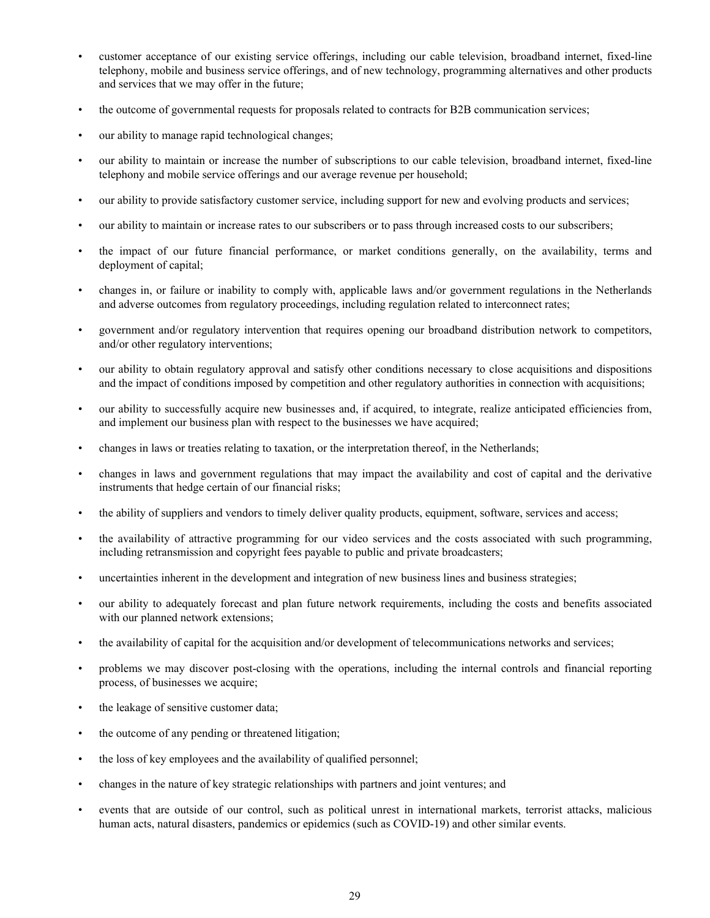- customer acceptance of our existing service offerings, including our cable television, broadband internet, fixed-line telephony, mobile and business service offerings, and of new technology, programming alternatives and other products and services that we may offer in the future;
- the outcome of governmental requests for proposals related to contracts for B2B communication services;
- our ability to manage rapid technological changes;
- our ability to maintain or increase the number of subscriptions to our cable television, broadband internet, fixed-line telephony and mobile service offerings and our average revenue per household;
- our ability to provide satisfactory customer service, including support for new and evolving products and services;
- our ability to maintain or increase rates to our subscribers or to pass through increased costs to our subscribers;
- the impact of our future financial performance, or market conditions generally, on the availability, terms and deployment of capital;
- changes in, or failure or inability to comply with, applicable laws and/or government regulations in the Netherlands and adverse outcomes from regulatory proceedings, including regulation related to interconnect rates;
- government and/or regulatory intervention that requires opening our broadband distribution network to competitors, and/or other regulatory interventions;
- our ability to obtain regulatory approval and satisfy other conditions necessary to close acquisitions and dispositions and the impact of conditions imposed by competition and other regulatory authorities in connection with acquisitions;
- our ability to successfully acquire new businesses and, if acquired, to integrate, realize anticipated efficiencies from, and implement our business plan with respect to the businesses we have acquired;
- changes in laws or treaties relating to taxation, or the interpretation thereof, in the Netherlands;
- changes in laws and government regulations that may impact the availability and cost of capital and the derivative instruments that hedge certain of our financial risks;
- the ability of suppliers and vendors to timely deliver quality products, equipment, software, services and access;
- the availability of attractive programming for our video services and the costs associated with such programming, including retransmission and copyright fees payable to public and private broadcasters;
- uncertainties inherent in the development and integration of new business lines and business strategies;
- our ability to adequately forecast and plan future network requirements, including the costs and benefits associated with our planned network extensions;
- the availability of capital for the acquisition and/or development of telecommunications networks and services;
- problems we may discover post-closing with the operations, including the internal controls and financial reporting process, of businesses we acquire;
- the leakage of sensitive customer data;
- the outcome of any pending or threatened litigation;
- the loss of key employees and the availability of qualified personnel;
- changes in the nature of key strategic relationships with partners and joint ventures; and
- events that are outside of our control, such as political unrest in international markets, terrorist attacks, malicious human acts, natural disasters, pandemics or epidemics (such as COVID-19) and other similar events.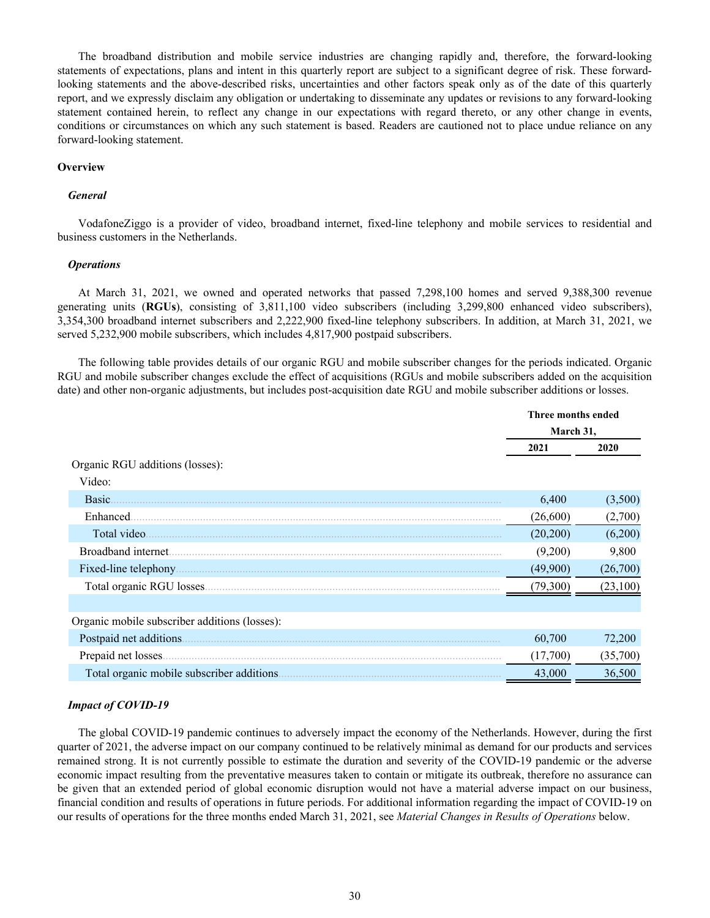The broadband distribution and mobile service industries are changing rapidly and, therefore, the forward-looking statements of expectations, plans and intent in this quarterly report are subject to a significant degree of risk. These forwardlooking statements and the above-described risks, uncertainties and other factors speak only as of the date of this quarterly report, and we expressly disclaim any obligation or undertaking to disseminate any updates or revisions to any forward-looking statement contained herein, to reflect any change in our expectations with regard thereto, or any other change in events, conditions or circumstances on which any such statement is based. Readers are cautioned not to place undue reliance on any forward-looking statement.

### **Overview**

### *General*

VodafoneZiggo is a provider of video, broadband internet, fixed-line telephony and mobile services to residential and business customers in the Netherlands.

### *Operations*

At March 31, 2021, we owned and operated networks that passed 7,298,100 homes and served 9,388,300 revenue generating units (**RGUs**), consisting of 3,811,100 video subscribers (including 3,299,800 enhanced video subscribers), 3,354,300 broadband internet subscribers and 2,222,900 fixed-line telephony subscribers. In addition, at March 31, 2021, we served 5,232,900 mobile subscribers, which includes 4,817,900 postpaid subscribers.

The following table provides details of our organic RGU and mobile subscriber changes for the periods indicated. Organic RGU and mobile subscriber changes exclude the effect of acquisitions (RGUs and mobile subscribers added on the acquisition date) and other non-organic adjustments, but includes post-acquisition date RGU and mobile subscriber additions or losses.

| March 31,<br>2021<br>2020<br>Organic RGU additions (losses):<br>Video:<br>Basic.<br>6,400<br>Enhanced<br>(26,600)<br>Total video.<br>(20, 200)<br>Broadband internet.<br>(9,200)<br>Fixed-line telephony.<br>(49,900)<br>Total organic RGU losses.<br>(79,300) |                         | Three months ended |           |  |
|----------------------------------------------------------------------------------------------------------------------------------------------------------------------------------------------------------------------------------------------------------------|-------------------------|--------------------|-----------|--|
|                                                                                                                                                                                                                                                                |                         |                    |           |  |
|                                                                                                                                                                                                                                                                |                         |                    |           |  |
| Organic mobile subscriber additions (losses):                                                                                                                                                                                                                  |                         |                    |           |  |
|                                                                                                                                                                                                                                                                |                         |                    |           |  |
|                                                                                                                                                                                                                                                                |                         |                    | (3,500)   |  |
|                                                                                                                                                                                                                                                                |                         |                    | (2,700)   |  |
|                                                                                                                                                                                                                                                                |                         |                    | (6,200)   |  |
|                                                                                                                                                                                                                                                                |                         |                    | 9,800     |  |
|                                                                                                                                                                                                                                                                |                         |                    | (26,700)  |  |
|                                                                                                                                                                                                                                                                |                         |                    | (23, 100) |  |
|                                                                                                                                                                                                                                                                |                         |                    |           |  |
|                                                                                                                                                                                                                                                                |                         |                    |           |  |
|                                                                                                                                                                                                                                                                | Postpaid net additions. | 60,700             | 72,200    |  |
| (17,700)<br>Prepaid net losses                                                                                                                                                                                                                                 |                         |                    | (35,700)  |  |
| Total organic mobile subscriber additions.<br>43,000                                                                                                                                                                                                           |                         |                    | 36,500    |  |

### *Impact of COVID-19*

The global COVID-19 pandemic continues to adversely impact the economy of the Netherlands. However, during the first quarter of 2021, the adverse impact on our company continued to be relatively minimal as demand for our products and services remained strong. It is not currently possible to estimate the duration and severity of the COVID-19 pandemic or the adverse economic impact resulting from the preventative measures taken to contain or mitigate its outbreak, therefore no assurance can be given that an extended period of global economic disruption would not have a material adverse impact on our business, financial condition and results of operations in future periods. For additional information regarding the impact of COVID-19 on our results of operations for the three months ended March 31, 2021, see *Material Changes in Results of Operations* below.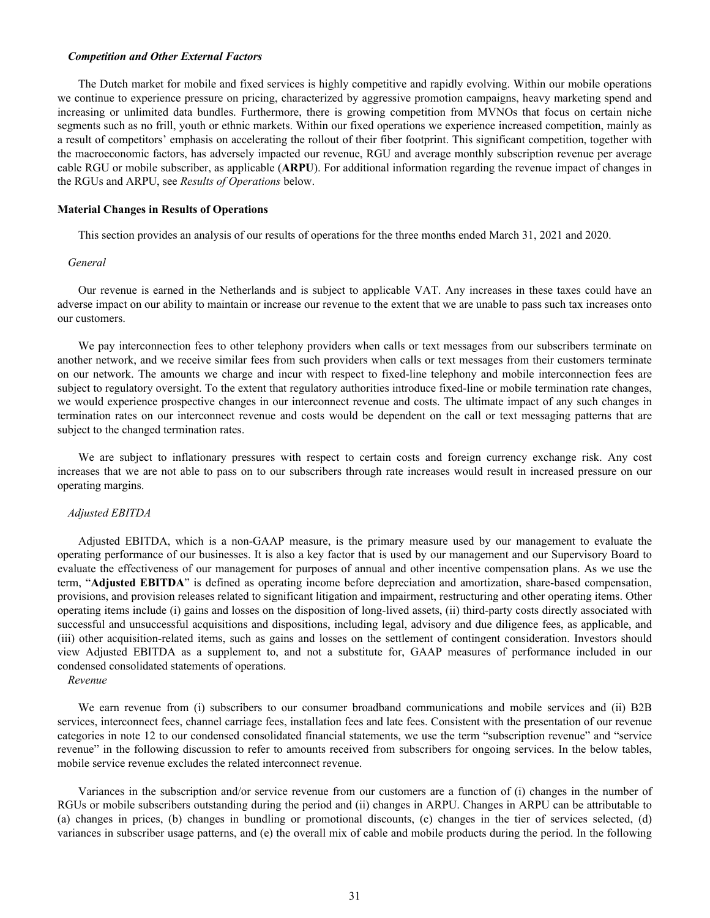### *Competition and Other External Factors*

The Dutch market for mobile and fixed services is highly competitive and rapidly evolving. Within our mobile operations we continue to experience pressure on pricing, characterized by aggressive promotion campaigns, heavy marketing spend and increasing or unlimited data bundles. Furthermore, there is growing competition from MVNOs that focus on certain niche segments such as no frill, youth or ethnic markets. Within our fixed operations we experience increased competition, mainly as a result of competitors' emphasis on accelerating the rollout of their fiber footprint. This significant competition, together with the macroeconomic factors, has adversely impacted our revenue, RGU and average monthly subscription revenue per average cable RGU or mobile subscriber, as applicable (**ARPU**). For additional information regarding the revenue impact of changes in the RGUs and ARPU, see *Results of Operations* below.

### **Material Changes in Results of Operations**

This section provides an analysis of our results of operations for the three months ended March 31, 2021 and 2020.

### *General*

Our revenue is earned in the Netherlands and is subject to applicable VAT. Any increases in these taxes could have an adverse impact on our ability to maintain or increase our revenue to the extent that we are unable to pass such tax increases onto our customers.

We pay interconnection fees to other telephony providers when calls or text messages from our subscribers terminate on another network, and we receive similar fees from such providers when calls or text messages from their customers terminate on our network. The amounts we charge and incur with respect to fixed-line telephony and mobile interconnection fees are subject to regulatory oversight. To the extent that regulatory authorities introduce fixed-line or mobile termination rate changes, we would experience prospective changes in our interconnect revenue and costs. The ultimate impact of any such changes in termination rates on our interconnect revenue and costs would be dependent on the call or text messaging patterns that are subject to the changed termination rates.

We are subject to inflationary pressures with respect to certain costs and foreign currency exchange risk. Any cost increases that we are not able to pass on to our subscribers through rate increases would result in increased pressure on our operating margins.

### *Adjusted EBITDA*

Adjusted EBITDA, which is a non-GAAP measure, is the primary measure used by our management to evaluate the operating performance of our businesses. It is also a key factor that is used by our management and our Supervisory Board to evaluate the effectiveness of our management for purposes of annual and other incentive compensation plans. As we use the term, "**Adjusted EBITDA**" is defined as operating income before depreciation and amortization, share-based compensation, provisions, and provision releases related to significant litigation and impairment, restructuring and other operating items. Other operating items include (i) gains and losses on the disposition of long-lived assets, (ii) third-party costs directly associated with successful and unsuccessful acquisitions and dispositions, including legal, advisory and due diligence fees, as applicable, and (iii) other acquisition-related items, such as gains and losses on the settlement of contingent consideration. Investors should view Adjusted EBITDA as a supplement to, and not a substitute for, GAAP measures of performance included in our condensed consolidated statements of operations.

### *Revenue*

We earn revenue from (i) subscribers to our consumer broadband communications and mobile services and (ii) B2B services, interconnect fees, channel carriage fees, installation fees and late fees. Consistent with the presentation of our revenue categories in note 12 to our condensed consolidated financial statements, we use the term "subscription revenue" and "service revenue" in the following discussion to refer to amounts received from subscribers for ongoing services. In the below tables, mobile service revenue excludes the related interconnect revenue.

Variances in the subscription and/or service revenue from our customers are a function of (i) changes in the number of RGUs or mobile subscribers outstanding during the period and (ii) changes in ARPU. Changes in ARPU can be attributable to (a) changes in prices, (b) changes in bundling or promotional discounts, (c) changes in the tier of services selected, (d) variances in subscriber usage patterns, and (e) the overall mix of cable and mobile products during the period. In the following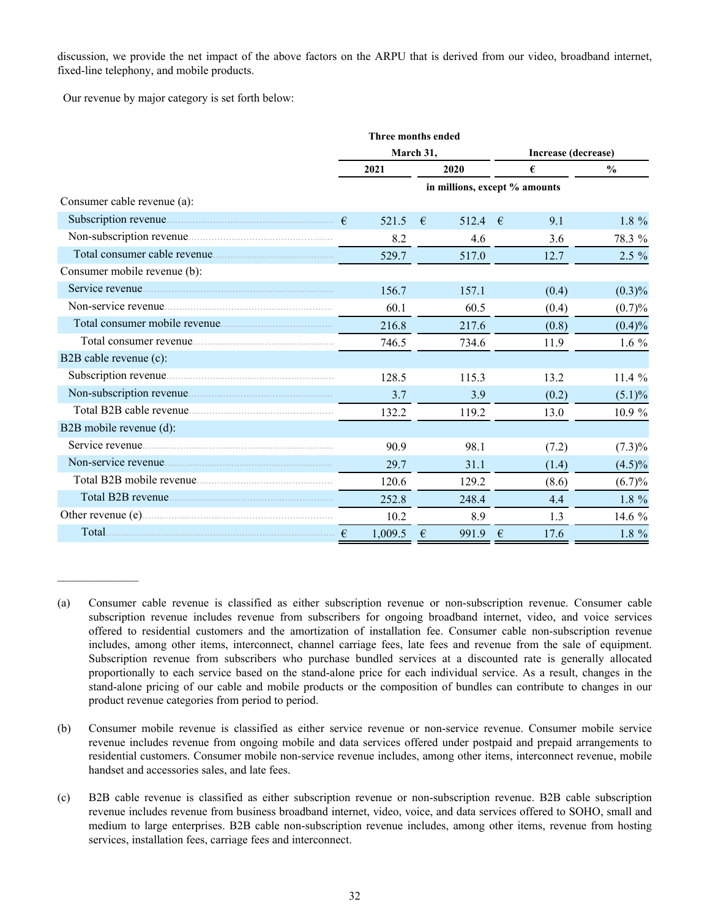discussion, we provide the net impact of the above factors on the ARPU that is derived from our video, broadband internet, fixed-line telephony, and mobile products.

Our revenue by major category is set forth below:

 $\mathcal{L}_\text{max}$  , where  $\mathcal{L}_\text{max}$ 

|                              | Three months ended |         |           |                               |                     |       |               |  |
|------------------------------|--------------------|---------|-----------|-------------------------------|---------------------|-------|---------------|--|
|                              |                    |         | March 31, |                               | Increase (decrease) |       |               |  |
|                              |                    | 2021    |           | 2020                          | €                   |       | $\frac{0}{0}$ |  |
|                              |                    |         |           | in millions, except % amounts |                     |       |               |  |
| Consumer cable revenue (a):  |                    |         |           |                               |                     |       |               |  |
|                              |                    | 521.5   | €         | 512.4                         | $-\epsilon$         | 9.1   | 1.8 %         |  |
|                              |                    | 8.2     |           | 4.6                           |                     | 3.6   | 78.3 %        |  |
|                              |                    | 529.7   |           | 517.0                         |                     | 12.7  | $2.5 \%$      |  |
| Consumer mobile revenue (b): |                    |         |           |                               |                     |       |               |  |
|                              |                    | 156.7   |           | 157.1                         |                     | (0.4) | $(0.3)\%$     |  |
|                              |                    | 60.1    |           | 60.5                          |                     | (0.4) | (0.7)%        |  |
|                              |                    | 216.8   |           | 217.6                         |                     | (0.8) | $(0.4)\%$     |  |
|                              |                    | 746.5   |           | 734.6                         |                     | 11.9  | $1.6\%$       |  |
| B2B cable revenue (c):       |                    |         |           |                               |                     |       |               |  |
|                              |                    | 128.5   |           | 115.3                         |                     | 13.2  | 11.4 %        |  |
|                              |                    | 3.7     |           | 3.9                           |                     | (0.2) | $(5.1)\%$     |  |
| Total B2B cable revenue      |                    | 132.2   |           | 119.2                         |                     | 13.0  | 10.9 %        |  |
| B2B mobile revenue (d):      |                    |         |           |                               |                     |       |               |  |
| Service revenue              |                    | 90.9    |           | 98.1                          |                     | (7.2) | $(7.3)\%$     |  |
|                              |                    | 29.7    |           | 31.1                          |                     | (1.4) | $(4.5)\%$     |  |
|                              |                    | 120.6   |           | 129.2                         |                     | (8.6) | (6.7)%        |  |
|                              |                    | 252.8   |           | 248.4                         |                     | 4.4   | 1.8 %         |  |
|                              |                    | 10.2    |           | 8.9                           |                     | 1.3   | 14.6 %        |  |
|                              |                    | 1,009.5 | €         | 991.9                         | €                   | 17.6  | $1.8 \%$      |  |

<sup>(</sup>a) Consumer cable revenue is classified as either subscription revenue or non-subscription revenue. Consumer cable subscription revenue includes revenue from subscribers for ongoing broadband internet, video, and voice services offered to residential customers and the amortization of installation fee. Consumer cable non-subscription revenue includes, among other items, interconnect, channel carriage fees, late fees and revenue from the sale of equipment. Subscription revenue from subscribers who purchase bundled services at a discounted rate is generally allocated proportionally to each service based on the stand-alone price for each individual service. As a result, changes in the stand-alone pricing of our cable and mobile products or the composition of bundles can contribute to changes in our product revenue categories from period to period.

<sup>(</sup>b) Consumer mobile revenue is classified as either service revenue or non-service revenue. Consumer mobile service revenue includes revenue from ongoing mobile and data services offered under postpaid and prepaid arrangements to residential customers. Consumer mobile non-service revenue includes, among other items, interconnect revenue, mobile handset and accessories sales, and late fees.

<sup>(</sup>c) B2B cable revenue is classified as either subscription revenue or non-subscription revenue. B2B cable subscription revenue includes revenue from business broadband internet, video, voice, and data services offered to SOHO, small and medium to large enterprises. B2B cable non-subscription revenue includes, among other items, revenue from hosting services, installation fees, carriage fees and interconnect.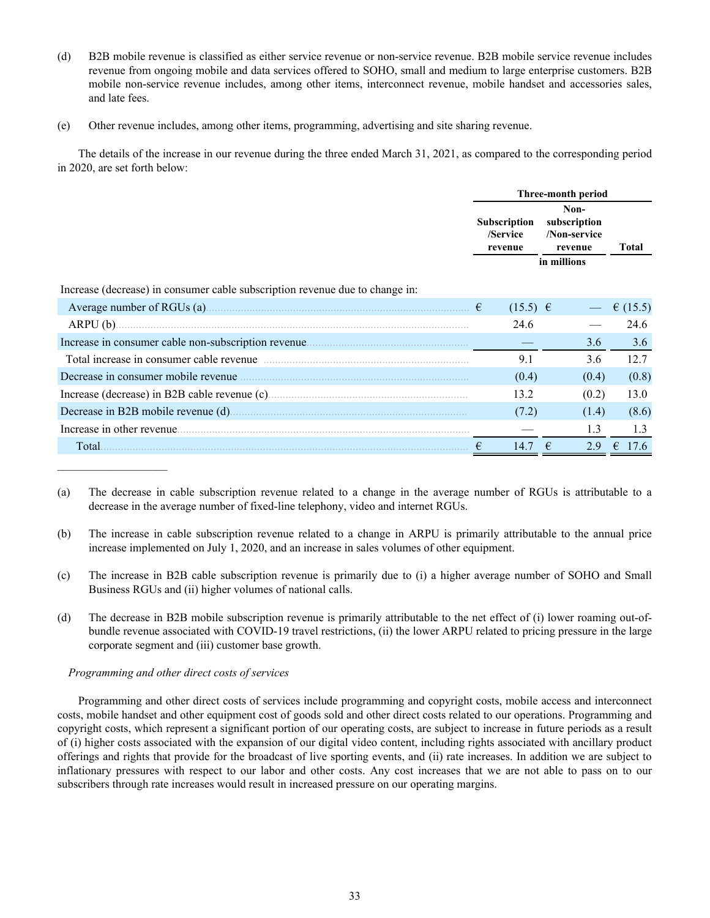- (d) B2B mobile revenue is classified as either service revenue or non-service revenue. B2B mobile service revenue includes revenue from ongoing mobile and data services offered to SOHO, small and medium to large enterprise customers. B2B mobile non-service revenue includes, among other items, interconnect revenue, mobile handset and accessories sales, and late fees.
- (e) Other revenue includes, among other items, programming, advertising and site sharing revenue.

The details of the increase in our revenue during the three ended March 31, 2021, as compared to the corresponding period in 2020, are set forth below:

|                                                                              | Three-month period |                                            |                                                                |            |  |
|------------------------------------------------------------------------------|--------------------|--------------------------------------------|----------------------------------------------------------------|------------|--|
|                                                                              |                    | <b>Subscription</b><br>/Service<br>revenue | Non-<br>subscription<br>/Non-service<br>revenue<br>in millions | Total      |  |
| Increase (decrease) in consumer cable subscription revenue due to change in: |                    |                                            |                                                                |            |  |
| Average number of RGUs (a) $\epsilon$                                        |                    | $(15.5) \in$                               |                                                                | € $(15.5)$ |  |
|                                                                              |                    | 24.6                                       |                                                                | 24.6       |  |
|                                                                              |                    |                                            | 3.6                                                            | 3.6        |  |
|                                                                              |                    | 9.1                                        | 3.6                                                            | 12.7       |  |
| Decrease in consumer mobile revenue                                          |                    | (0.4)                                      | (0.4)                                                          | (0.8)      |  |
|                                                                              |                    | 13.2                                       | (0.2)                                                          | 13.0       |  |
|                                                                              |                    | (7.2)                                      | (1.4)                                                          | (8.6)      |  |
| Increase in other revenue.                                                   |                    |                                            | 1.3                                                            | 1.3        |  |
| Total.                                                                       |                    | 14.7                                       | 2.9                                                            | 7.6        |  |

<sup>(</sup>a) The decrease in cable subscription revenue related to a change in the average number of RGUs is attributable to a decrease in the average number of fixed-line telephony, video and internet RGUs.

- (b) The increase in cable subscription revenue related to a change in ARPU is primarily attributable to the annual price increase implemented on July 1, 2020, and an increase in sales volumes of other equipment.
- (c) The increase in B2B cable subscription revenue is primarily due to (i) a higher average number of SOHO and Small Business RGUs and (ii) higher volumes of national calls.
- (d) The decrease in B2B mobile subscription revenue is primarily attributable to the net effect of (i) lower roaming out-ofbundle revenue associated with COVID-19 travel restrictions, (ii) the lower ARPU related to pricing pressure in the large corporate segment and (iii) customer base growth.

# *Programming and other direct costs of services*

Programming and other direct costs of services include programming and copyright costs, mobile access and interconnect costs, mobile handset and other equipment cost of goods sold and other direct costs related to our operations. Programming and copyright costs, which represent a significant portion of our operating costs, are subject to increase in future periods as a result of (i) higher costs associated with the expansion of our digital video content, including rights associated with ancillary product offerings and rights that provide for the broadcast of live sporting events, and (ii) rate increases. In addition we are subject to inflationary pressures with respect to our labor and other costs. Any cost increases that we are not able to pass on to our subscribers through rate increases would result in increased pressure on our operating margins.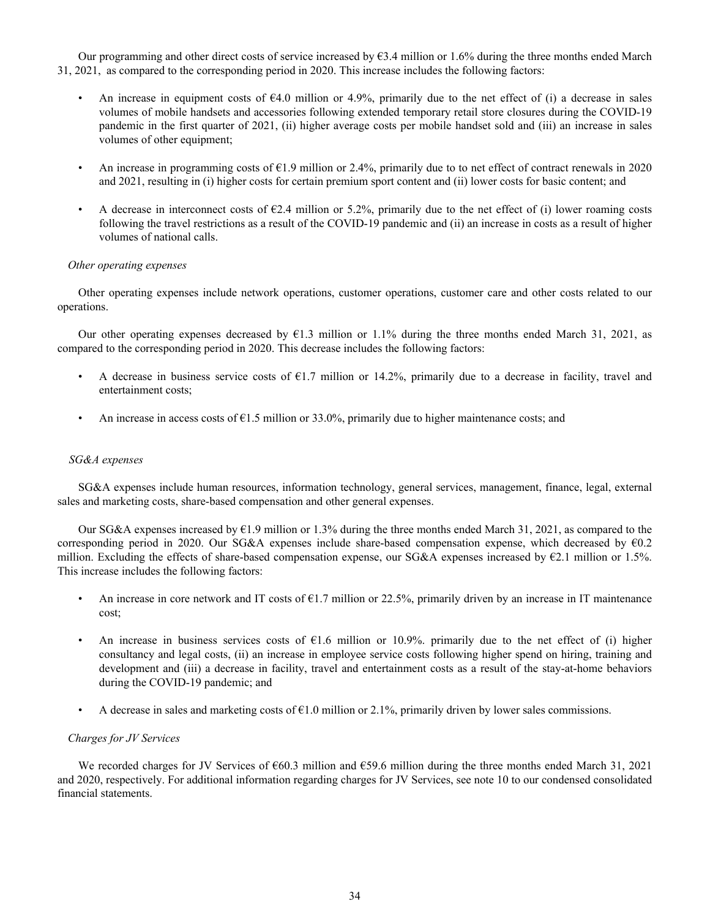Our programming and other direct costs of service increased by  $63.4$  million or 1.6% during the three months ended March 31, 2021, as compared to the corresponding period in 2020. This increase includes the following factors:

- An increase in equipment costs of  $\epsilon$ 4.0 million or 4.9%, primarily due to the net effect of (i) a decrease in sales volumes of mobile handsets and accessories following extended temporary retail store closures during the COVID-19 pandemic in the first quarter of 2021, (ii) higher average costs per mobile handset sold and (iii) an increase in sales volumes of other equipment;
- An increase in programming costs of  $\epsilon$ 1.9 million or 2.4%, primarily due to to net effect of contract renewals in 2020 and 2021, resulting in (i) higher costs for certain premium sport content and (ii) lower costs for basic content; and
- A decrease in interconnect costs of  $E2.4$  million or 5.2%, primarily due to the net effect of (i) lower roaming costs following the travel restrictions as a result of the COVID-19 pandemic and (ii) an increase in costs as a result of higher volumes of national calls.

### *Other operating expenses*

Other operating expenses include network operations, customer operations, customer care and other costs related to our operations.

Our other operating expenses decreased by €1.3 million or 1.1% during the three months ended March 31, 2021, as compared to the corresponding period in 2020. This decrease includes the following factors:

- A decrease in business service costs of  $E1.7$  million or 14.2%, primarily due to a decrease in facility, travel and entertainment costs;
- An increase in access costs of  $\epsilon$ 1.5 million or 33.0%, primarily due to higher maintenance costs; and

### *SG&A expenses*

SG&A expenses include human resources, information technology, general services, management, finance, legal, external sales and marketing costs, share-based compensation and other general expenses.

Our SG&A expenses increased by  $\epsilon$ 1.9 million or 1.3% during the three months ended March 31, 2021, as compared to the corresponding period in 2020. Our SG&A expenses include share-based compensation expense, which decreased by  $60.2$ million. Excluding the effects of share-based compensation expense, our SG&A expenses increased by  $\epsilon$ 2.1 million or 1.5%. This increase includes the following factors:

- An increase in core network and IT costs of  $E1.7$  million or 22.5%, primarily driven by an increase in IT maintenance cost;
- An increase in business services costs of  $E1.6$  million or 10.9%. primarily due to the net effect of (i) higher consultancy and legal costs, (ii) an increase in employee service costs following higher spend on hiring, training and development and (iii) a decrease in facility, travel and entertainment costs as a result of the stay-at-home behaviors during the COVID-19 pandemic; and
- A decrease in sales and marketing costs of  $\epsilon$ 1.0 million or 2.1%, primarily driven by lower sales commissions.

### *Charges for JV Services*

We recorded charges for JV Services of  $660.3$  million and  $659.6$  million during the three months ended March 31, 2021 and 2020, respectively. For additional information regarding charges for JV Services, see note 10 to our condensed consolidated financial statements.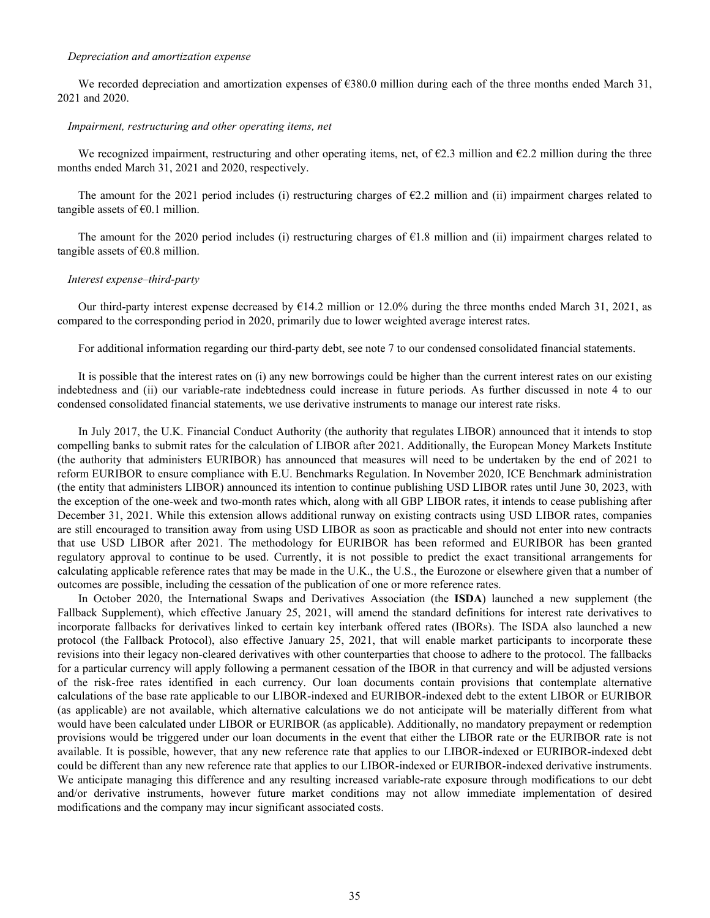### *Depreciation and amortization expense*

We recorded depreciation and amortization expenses of  $\epsilon$ 380.0 million during each of the three months ended March 31, 2021 and 2020.

### *Impairment, restructuring and other operating items, net*

We recognized impairment, restructuring and other operating items, net, of  $\epsilon$ 2.3 million and  $\epsilon$ 2.2 million during the three months ended March 31, 2021 and 2020, respectively.

The amount for the 2021 period includes (i) restructuring charges of  $\epsilon$ 2.2 million and (ii) impairment charges related to tangible assets of  $\epsilon$ 0.1 million.

The amount for the 2020 period includes (i) restructuring charges of  $E1.8$  million and (ii) impairment charges related to tangible assets of  $\epsilon$ 0.8 million.

### *Interest expense–third-party*

Our third-party interest expense decreased by  $\epsilon$ 14.2 million or 12.0% during the three months ended March 31, 2021, as compared to the corresponding period in 2020, primarily due to lower weighted average interest rates.

For additional information regarding our third-party debt, see note 7 to our condensed consolidated financial statements.

It is possible that the interest rates on (i) any new borrowings could be higher than the current interest rates on our existing indebtedness and (ii) our variable-rate indebtedness could increase in future periods. As further discussed in note 4 to our condensed consolidated financial statements, we use derivative instruments to manage our interest rate risks.

In July 2017, the U.K. Financial Conduct Authority (the authority that regulates LIBOR) announced that it intends to stop compelling banks to submit rates for the calculation of LIBOR after 2021. Additionally, the European Money Markets Institute (the authority that administers EURIBOR) has announced that measures will need to be undertaken by the end of 2021 to reform EURIBOR to ensure compliance with E.U. Benchmarks Regulation. In November 2020, ICE Benchmark administration (the entity that administers LIBOR) announced its intention to continue publishing USD LIBOR rates until June 30, 2023, with the exception of the one-week and two-month rates which, along with all GBP LIBOR rates, it intends to cease publishing after December 31, 2021. While this extension allows additional runway on existing contracts using USD LIBOR rates, companies are still encouraged to transition away from using USD LIBOR as soon as practicable and should not enter into new contracts that use USD LIBOR after 2021. The methodology for EURIBOR has been reformed and EURIBOR has been granted regulatory approval to continue to be used. Currently, it is not possible to predict the exact transitional arrangements for calculating applicable reference rates that may be made in the U.K., the U.S., the Eurozone or elsewhere given that a number of outcomes are possible, including the cessation of the publication of one or more reference rates.

In October 2020, the International Swaps and Derivatives Association (the **ISDA**) launched a new supplement (the Fallback Supplement), which effective January 25, 2021, will amend the standard definitions for interest rate derivatives to incorporate fallbacks for derivatives linked to certain key interbank offered rates (IBORs). The ISDA also launched a new protocol (the Fallback Protocol), also effective January 25, 2021, that will enable market participants to incorporate these revisions into their legacy non-cleared derivatives with other counterparties that choose to adhere to the protocol. The fallbacks for a particular currency will apply following a permanent cessation of the IBOR in that currency and will be adjusted versions of the risk-free rates identified in each currency. Our loan documents contain provisions that contemplate alternative calculations of the base rate applicable to our LIBOR-indexed and EURIBOR-indexed debt to the extent LIBOR or EURIBOR (as applicable) are not available, which alternative calculations we do not anticipate will be materially different from what would have been calculated under LIBOR or EURIBOR (as applicable). Additionally, no mandatory prepayment or redemption provisions would be triggered under our loan documents in the event that either the LIBOR rate or the EURIBOR rate is not available. It is possible, however, that any new reference rate that applies to our LIBOR-indexed or EURIBOR-indexed debt could be different than any new reference rate that applies to our LIBOR-indexed or EURIBOR-indexed derivative instruments. We anticipate managing this difference and any resulting increased variable-rate exposure through modifications to our debt and/or derivative instruments, however future market conditions may not allow immediate implementation of desired modifications and the company may incur significant associated costs.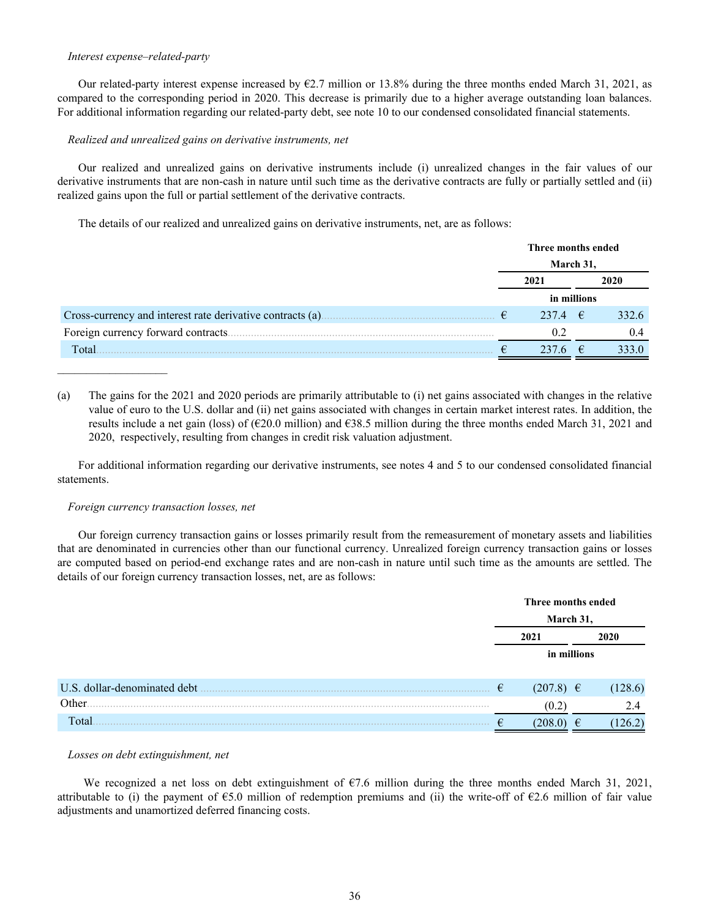### *Interest expense–related-party*

Our related-party interest expense increased by  $\epsilon$ 2.7 million or 13.8% during the three months ended March 31, 2021, as compared to the corresponding period in 2020. This decrease is primarily due to a higher average outstanding loan balances. For additional information regarding our related-party debt, see note 10 to our condensed consolidated financial statements.

### *Realized and unrealized gains on derivative instruments, net*

Our realized and unrealized gains on derivative instruments include (i) unrealized changes in the fair values of our derivative instruments that are non-cash in nature until such time as the derivative contracts are fully or partially settled and (ii) realized gains upon the full or partial settlement of the derivative contracts.

The details of our realized and unrealized gains on derivative instruments, net, are as follows:

|                                                           | Three months ended |            |       |  |
|-----------------------------------------------------------|--------------------|------------|-------|--|
|                                                           | March 31,          |            |       |  |
|                                                           | 2021               |            | 2020  |  |
|                                                           | in millions        |            |       |  |
| Cross-currency and interest rate derivative contracts (a) | 237.4 $\epsilon$   |            | 332.6 |  |
|                                                           |                    |            | (14)  |  |
| Total                                                     |                    | $\epsilon$ | 333.0 |  |

(a) The gains for the 2021 and 2020 periods are primarily attributable to (i) net gains associated with changes in the relative value of euro to the U.S. dollar and (ii) net gains associated with changes in certain market interest rates. In addition, the results include a net gain (loss) of ( $\epsilon$ 20.0 million) and  $\epsilon$ 38.5 million during the three months ended March 31, 2021 and 2020, respectively, resulting from changes in credit risk valuation adjustment.

For additional information regarding our derivative instruments, see notes 4 and 5 to our condensed consolidated financial statements.

### *Foreign currency transaction losses, net*

Our foreign currency transaction gains or losses primarily result from the remeasurement of monetary assets and liabilities that are denominated in currencies other than our functional currency. Unrealized foreign currency transaction gains or losses are computed based on period-end exchange rates and are non-cash in nature until such time as the amounts are settled. The details of our foreign currency transaction losses, net, are as follows:

|                              | Three months ended |               |    |        |  |
|------------------------------|--------------------|---------------|----|--------|--|
|                              |                    | March 31,     |    |        |  |
|                              |                    | 2021          |    | 2020   |  |
|                              |                    | in millions   |    |        |  |
| U.S. dollar-denominated debt | €                  | $(207.8) \in$ |    | .28.6) |  |
| Other.<br>.                  |                    | (0.2)         |    | 2.4    |  |
| Total                        |                    | 208.          | ŧ. |        |  |

### *Losses on debt extinguishment, net*

 We recognized a net loss on debt extinguishment of €7.6 million during the three months ended March 31, 2021, attributable to (i) the payment of  $\epsilon$ 5.0 million of redemption premiums and (ii) the write-off of  $\epsilon$ 2.6 million of fair value adjustments and unamortized deferred financing costs.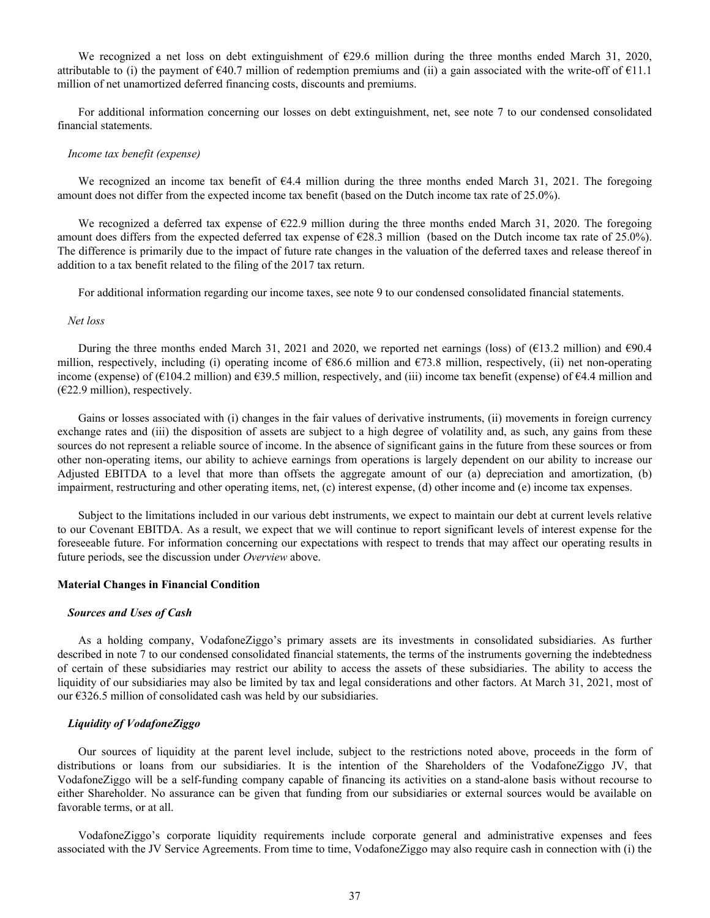We recognized a net loss on debt extinguishment of €29.6 million during the three months ended March 31, 2020, attributable to (i) the payment of  $\epsilon$ 40.7 million of redemption premiums and (ii) a gain associated with the write-off of  $\epsilon$ 11.1 million of net unamortized deferred financing costs, discounts and premiums.

For additional information concerning our losses on debt extinguishment, net, see note 7 to our condensed consolidated financial statements.

### *Income tax benefit (expense)*

We recognized an income tax benefit of €4.4 million during the three months ended March 31, 2021. The foregoing amount does not differ from the expected income tax benefit (based on the Dutch income tax rate of 25.0%).

We recognized a deferred tax expense of €22.9 million during the three months ended March 31, 2020. The foregoing amount does differs from the expected deferred tax expense of  $\epsilon$ 28.3 million (based on the Dutch income tax rate of 25.0%). The difference is primarily due to the impact of future rate changes in the valuation of the deferred taxes and release thereof in addition to a tax benefit related to the filing of the 2017 tax return.

For additional information regarding our income taxes, see note 9 to our condensed consolidated financial statements.

### *Net loss*

During the three months ended March 31, 2021 and 2020, we reported net earnings (loss) of (€13.2 million) and  $\epsilon$ 90.4 million, respectively, including (i) operating income of  $\epsilon$ 86.6 million and  $\epsilon$ 73.8 million, respectively, (ii) net non-operating income (expense) of ( $\epsilon$ 104.2 million) and  $\epsilon$ 39.5 million, respectively, and (iii) income tax benefit (expense) of  $\epsilon$ 4.4 million and  $(E22.9 \text{ million})$ , respectively.

Gains or losses associated with (i) changes in the fair values of derivative instruments, (ii) movements in foreign currency exchange rates and (iii) the disposition of assets are subject to a high degree of volatility and, as such, any gains from these sources do not represent a reliable source of income. In the absence of significant gains in the future from these sources or from other non-operating items, our ability to achieve earnings from operations is largely dependent on our ability to increase our Adjusted EBITDA to a level that more than offsets the aggregate amount of our (a) depreciation and amortization, (b) impairment, restructuring and other operating items, net, (c) interest expense, (d) other income and (e) income tax expenses.

Subject to the limitations included in our various debt instruments, we expect to maintain our debt at current levels relative to our Covenant EBITDA. As a result, we expect that we will continue to report significant levels of interest expense for the foreseeable future. For information concerning our expectations with respect to trends that may affect our operating results in future periods, see the discussion under *Overview* above.

### **Material Changes in Financial Condition**

### *Sources and Uses of Cash*

As a holding company, VodafoneZiggo's primary assets are its investments in consolidated subsidiaries. As further described in note 7 to our condensed consolidated financial statements, the terms of the instruments governing the indebtedness of certain of these subsidiaries may restrict our ability to access the assets of these subsidiaries. The ability to access the liquidity of our subsidiaries may also be limited by tax and legal considerations and other factors. At March 31, 2021, most of our €326.5 million of consolidated cash was held by our subsidiaries.

### *Liquidity of VodafoneZiggo*

Our sources of liquidity at the parent level include, subject to the restrictions noted above, proceeds in the form of distributions or loans from our subsidiaries. It is the intention of the Shareholders of the VodafoneZiggo JV, that VodafoneZiggo will be a self-funding company capable of financing its activities on a stand-alone basis without recourse to either Shareholder. No assurance can be given that funding from our subsidiaries or external sources would be available on favorable terms, or at all.

VodafoneZiggo's corporate liquidity requirements include corporate general and administrative expenses and fees associated with the JV Service Agreements. From time to time, VodafoneZiggo may also require cash in connection with (i) the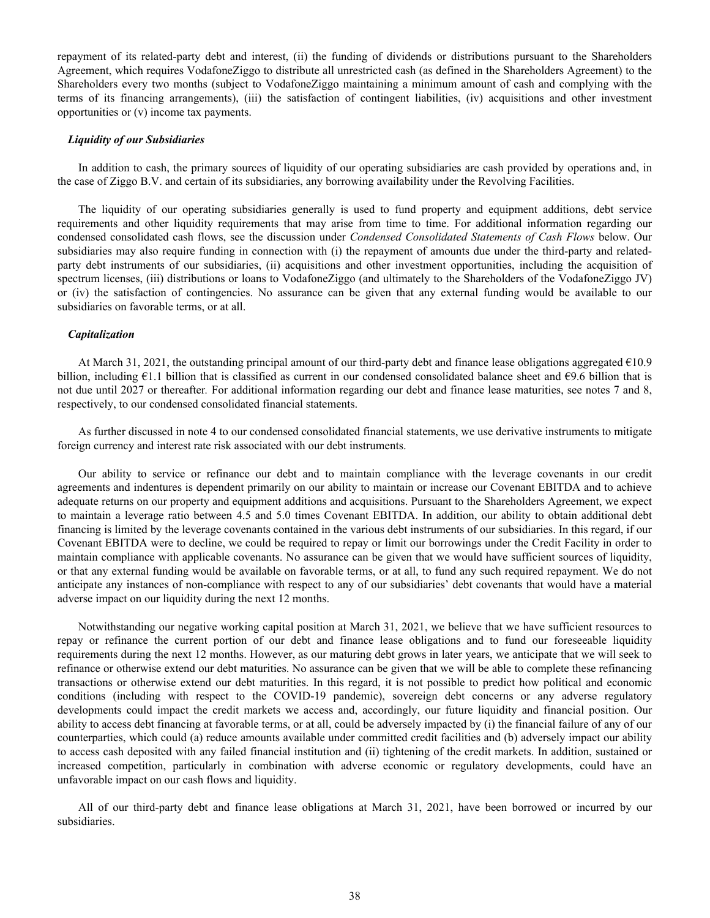repayment of its related-party debt and interest, (ii) the funding of dividends or distributions pursuant to the Shareholders Agreement, which requires VodafoneZiggo to distribute all unrestricted cash (as defined in the Shareholders Agreement) to the Shareholders every two months (subject to VodafoneZiggo maintaining a minimum amount of cash and complying with the terms of its financing arrangements), (iii) the satisfaction of contingent liabilities, (iv) acquisitions and other investment opportunities or (v) income tax payments.

### *Liquidity of our Subsidiaries*

In addition to cash, the primary sources of liquidity of our operating subsidiaries are cash provided by operations and, in the case of Ziggo B.V. and certain of its subsidiaries, any borrowing availability under the Revolving Facilities.

The liquidity of our operating subsidiaries generally is used to fund property and equipment additions, debt service requirements and other liquidity requirements that may arise from time to time. For additional information regarding our condensed consolidated cash flows, see the discussion under *Condensed Consolidated Statements of Cash Flows* below. Our subsidiaries may also require funding in connection with (i) the repayment of amounts due under the third-party and relatedparty debt instruments of our subsidiaries, (ii) acquisitions and other investment opportunities, including the acquisition of spectrum licenses, (iii) distributions or loans to VodafoneZiggo (and ultimately to the Shareholders of the VodafoneZiggo JV) or (iv) the satisfaction of contingencies. No assurance can be given that any external funding would be available to our subsidiaries on favorable terms, or at all.

### *Capitalization*

At March 31, 2021, the outstanding principal amount of our third-party debt and finance lease obligations aggregated €10.9 billion, including  $\epsilon$ 1.1 billion that is classified as current in our condensed consolidated balance sheet and  $\epsilon$ 9.6 billion that is not due until 2027 or thereafter*.* For additional information regarding our debt and finance lease maturities, see notes 7 and 8, respectively, to our condensed consolidated financial statements.

As further discussed in note 4 to our condensed consolidated financial statements, we use derivative instruments to mitigate foreign currency and interest rate risk associated with our debt instruments.

Our ability to service or refinance our debt and to maintain compliance with the leverage covenants in our credit agreements and indentures is dependent primarily on our ability to maintain or increase our Covenant EBITDA and to achieve adequate returns on our property and equipment additions and acquisitions. Pursuant to the Shareholders Agreement, we expect to maintain a leverage ratio between 4.5 and 5.0 times Covenant EBITDA. In addition, our ability to obtain additional debt financing is limited by the leverage covenants contained in the various debt instruments of our subsidiaries. In this regard, if our Covenant EBITDA were to decline, we could be required to repay or limit our borrowings under the Credit Facility in order to maintain compliance with applicable covenants. No assurance can be given that we would have sufficient sources of liquidity, or that any external funding would be available on favorable terms, or at all, to fund any such required repayment. We do not anticipate any instances of non-compliance with respect to any of our subsidiaries' debt covenants that would have a material adverse impact on our liquidity during the next 12 months.

Notwithstanding our negative working capital position at March 31, 2021, we believe that we have sufficient resources to repay or refinance the current portion of our debt and finance lease obligations and to fund our foreseeable liquidity requirements during the next 12 months. However, as our maturing debt grows in later years, we anticipate that we will seek to refinance or otherwise extend our debt maturities. No assurance can be given that we will be able to complete these refinancing transactions or otherwise extend our debt maturities. In this regard, it is not possible to predict how political and economic conditions (including with respect to the COVID-19 pandemic), sovereign debt concerns or any adverse regulatory developments could impact the credit markets we access and, accordingly, our future liquidity and financial position. Our ability to access debt financing at favorable terms, or at all, could be adversely impacted by (i) the financial failure of any of our counterparties, which could (a) reduce amounts available under committed credit facilities and (b) adversely impact our ability to access cash deposited with any failed financial institution and (ii) tightening of the credit markets. In addition, sustained or increased competition, particularly in combination with adverse economic or regulatory developments, could have an unfavorable impact on our cash flows and liquidity.

All of our third-party debt and finance lease obligations at March 31, 2021, have been borrowed or incurred by our subsidiaries.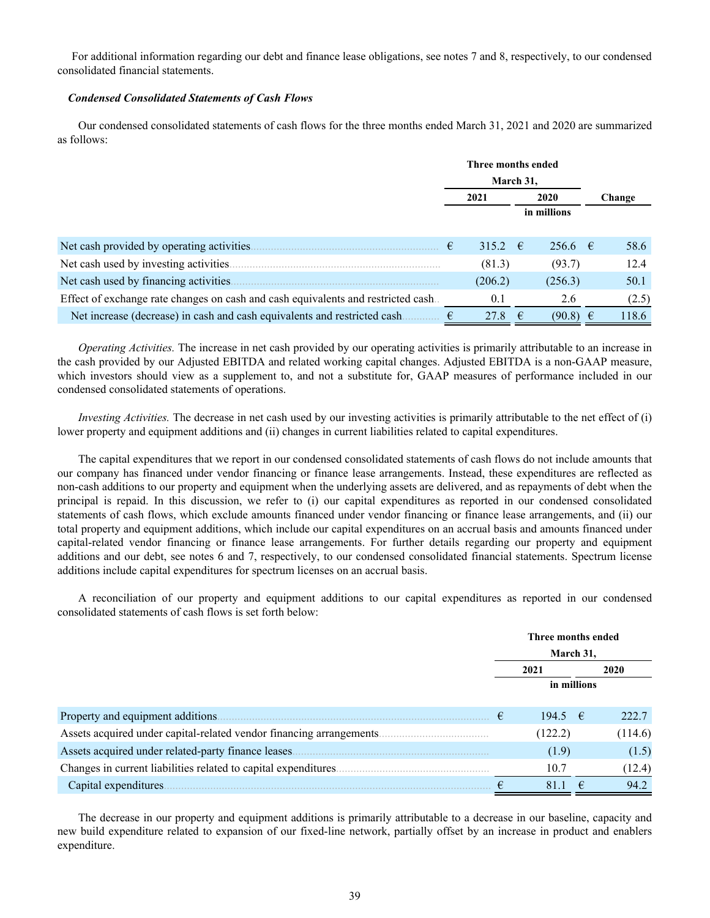For additional information regarding our debt and finance lease obligations, see notes 7 and 8, respectively, to our condensed consolidated financial statements.

# *Condensed Consolidated Statements of Cash Flows*

Our condensed consolidated statements of cash flows for the three months ended March 31, 2021 and 2020 are summarized as follows:

|                                                                                   | Three months ended |              |    |              |  |        |
|-----------------------------------------------------------------------------------|--------------------|--------------|----|--------------|--|--------|
|                                                                                   |                    | March 31,    |    |              |  |        |
|                                                                                   |                    | 2021<br>2020 |    |              |  | Change |
|                                                                                   |                    | in millions  |    |              |  |        |
|                                                                                   |                    |              |    |              |  |        |
| Net cash provided by operating activities.                                        | €                  | 315.2 $\in$  |    | $256.6$ €    |  | 58.6   |
| Net cash used by investing activities.                                            |                    | (81.3)       |    | (93.7)       |  | 12.4   |
| Net cash used by financing activities.                                            |                    | (206.2)      |    | (256.3)      |  | 50.1   |
| Effect of exchange rate changes on cash and cash equivalents and restricted cash. |                    | 0.1          |    | 2.6          |  | (2.5)  |
| Net increase (decrease) in cash and cash equivalents and restricted cash.         |                    | 27.8         | −€ | $(90.8) \in$ |  | 118.6  |

*Operating Activities.* The increase in net cash provided by our operating activities is primarily attributable to an increase in the cash provided by our Adjusted EBITDA and related working capital changes. Adjusted EBITDA is a non-GAAP measure, which investors should view as a supplement to, and not a substitute for, GAAP measures of performance included in our condensed consolidated statements of operations.

*Investing Activities.* The decrease in net cash used by our investing activities is primarily attributable to the net effect of (i) lower property and equipment additions and (ii) changes in current liabilities related to capital expenditures.

The capital expenditures that we report in our condensed consolidated statements of cash flows do not include amounts that our company has financed under vendor financing or finance lease arrangements. Instead, these expenditures are reflected as non-cash additions to our property and equipment when the underlying assets are delivered, and as repayments of debt when the principal is repaid. In this discussion, we refer to (i) our capital expenditures as reported in our condensed consolidated statements of cash flows, which exclude amounts financed under vendor financing or finance lease arrangements, and (ii) our total property and equipment additions, which include our capital expenditures on an accrual basis and amounts financed under capital-related vendor financing or finance lease arrangements. For further details regarding our property and equipment additions and our debt, see notes 6 and 7, respectively, to our condensed consolidated financial statements. Spectrum license additions include capital expenditures for spectrum licenses on an accrual basis.

A reconciliation of our property and equipment additions to our capital expenditures as reported in our condensed consolidated statements of cash flows is set forth below:

|                                                                      | Three months ended |             |            |         |  |
|----------------------------------------------------------------------|--------------------|-------------|------------|---------|--|
|                                                                      |                    | March 31,   |            |         |  |
|                                                                      |                    | 2021        | 2020       |         |  |
|                                                                      |                    | in millions |            |         |  |
| Property and equipment additions.                                    | €                  | $194.5 \t∈$ |            | 222.7   |  |
| Assets acquired under capital-related vendor financing arrangements. |                    | (122.2)     |            | (114.6) |  |
| Assets acquired under related-party finance leases                   |                    | (1.9)       |            | (1.5)   |  |
| Changes in current liabilities related to capital expenditures.      |                    | 10.7        |            | (12.4)  |  |
| Capital expenditures.                                                |                    | 81.1        | $\epsilon$ | 94.2    |  |

The decrease in our property and equipment additions is primarily attributable to a decrease in our baseline, capacity and new build expenditure related to expansion of our fixed-line network, partially offset by an increase in product and enablers expenditure.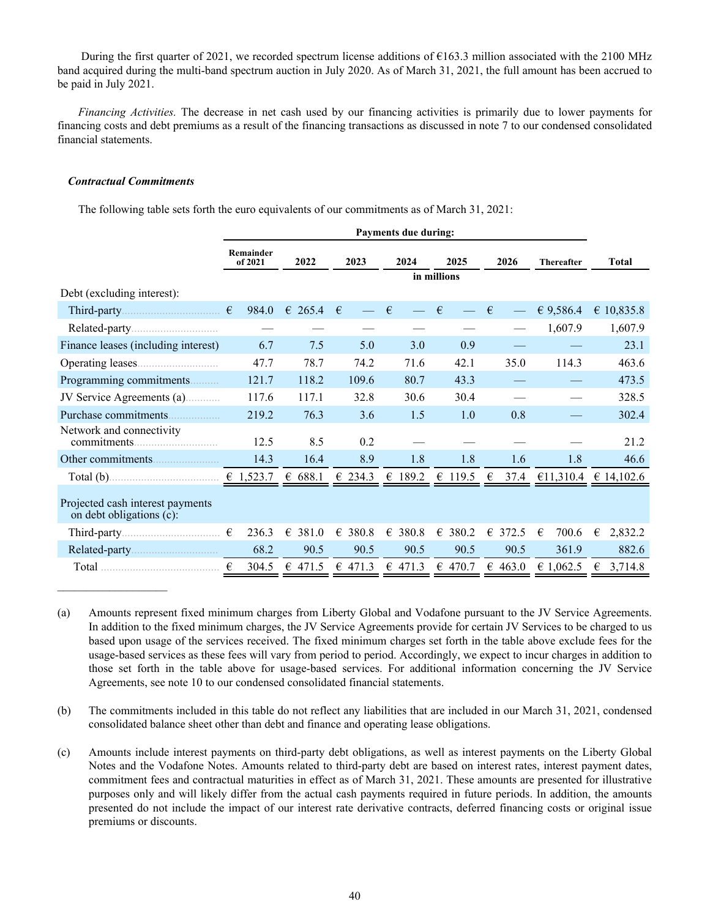During the first quarter of 2021, we recorded spectrum license additions of €163.3 million associated with the 2100 MHz band acquired during the multi-band spectrum auction in July 2020. As of March 31, 2021, the full amount has been accrued to be paid in July 2021.

*Financing Activities.* The decrease in net cash used by our financing activities is primarily due to lower payments for financing costs and debt premiums as a result of the financing transactions as discussed in note 7 to our condensed consolidated financial statements.

### *Contractual Commitments*

The following table sets forth the euro equivalents of our commitments as of March 31, 2021:

|                                                              | <b>Payments due during:</b> |                  |                  |            |                                 |           |                   |                        |  |
|--------------------------------------------------------------|-----------------------------|------------------|------------------|------------|---------------------------------|-----------|-------------------|------------------------|--|
|                                                              | Remainder<br>of 2021        | 2022             | 2023             | 2024       | 2025                            | 2026      | <b>Thereafter</b> | <b>Total</b>           |  |
|                                                              |                             |                  |                  |            | in millions                     |           |                   |                        |  |
| Debt (excluding interest):                                   |                             |                  |                  |            |                                 |           |                   |                        |  |
|                                                              | 984.0                       | $\epsilon$ 265.4 | $\epsilon$       | $\epsilon$ | $\epsilon$                      | €         | € 9,586.4         | € 10,835.8             |  |
|                                                              |                             |                  |                  |            |                                 |           | 1,607.9           | 1,607.9                |  |
| Finance leases (including interest)                          | 6.7                         | 7.5              | 5.0              | 3.0        | 0.9                             |           |                   | 23.1                   |  |
|                                                              | 47.7                        | 78.7             | 74.2             | 71.6       | 42.1                            | 35.0      | 114.3             | 463.6                  |  |
| Programming commitments                                      | 121.7                       | 118.2            | 109.6            | 80.7       | 43.3                            |           |                   | 473.5                  |  |
| JV Service Agreements (a)                                    | 117.6                       | 117.1            | 32.8             | 30.6       | 30.4                            |           |                   | 328.5                  |  |
| Purchase commitments                                         | 219.2                       | 76.3             | 3.6              | 1.5        | 1.0                             | 0.8       |                   | 302.4                  |  |
| Network and connectivity                                     | 12.5                        | 8.5              | 0.2              |            |                                 |           |                   | 21.2                   |  |
|                                                              | 14.3                        | 16.4             | 8.9              | 1.8        | 1.8                             | 1.6       | 1.8               | 46.6                   |  |
|                                                              |                             | € $688.1$        | € 234.3          | 189.2<br>€ | € 119.5                         | €<br>37.4 |                   | €11,310.4 $∈$ 14,102.6 |  |
| Projected cash interest payments<br>on debt obligations (c): |                             |                  |                  |            |                                 |           |                   |                        |  |
|                                                              | 236.3                       | € 381.0          | € 380.8          | € 380.8    | € 380.2                         | € 372.5   | 700.6<br>€        | 2,832.2<br>€           |  |
|                                                              | 68.2                        | 90.5             | 90.5             | 90.5       | 90.5                            | 90.5      | 361.9             | 882.6                  |  |
|                                                              | €<br>304.5                  | € 471.5          | $\epsilon$ 471.3 |            | € 471.3 $\in$ 470.7 $\in$ 463.0 |           | € 1,062.5         | € 3,714.8              |  |

(a) Amounts represent fixed minimum charges from Liberty Global and Vodafone pursuant to the JV Service Agreements. In addition to the fixed minimum charges, the JV Service Agreements provide for certain JV Services to be charged to us based upon usage of the services received. The fixed minimum charges set forth in the table above exclude fees for the usage-based services as these fees will vary from period to period. Accordingly, we expect to incur charges in addition to those set forth in the table above for usage-based services. For additional information concerning the JV Service Agreements, see note 10 to our condensed consolidated financial statements.

- (b) The commitments included in this table do not reflect any liabilities that are included in our March 31, 2021, condensed consolidated balance sheet other than debt and finance and operating lease obligations.
- (c) Amounts include interest payments on third-party debt obligations, as well as interest payments on the Liberty Global Notes and the Vodafone Notes. Amounts related to third-party debt are based on interest rates, interest payment dates, commitment fees and contractual maturities in effect as of March 31, 2021. These amounts are presented for illustrative purposes only and will likely differ from the actual cash payments required in future periods. In addition, the amounts presented do not include the impact of our interest rate derivative contracts, deferred financing costs or original issue premiums or discounts.